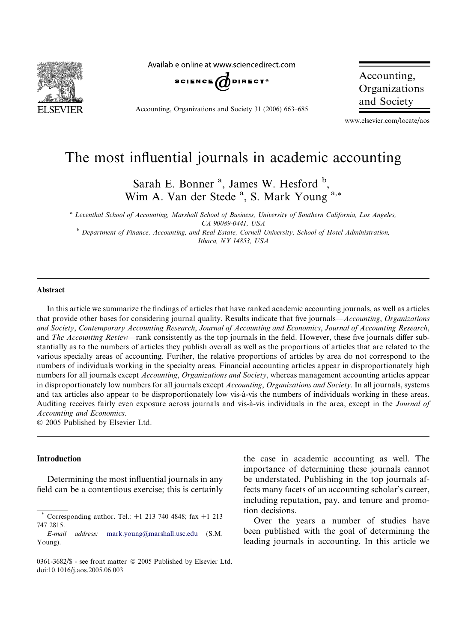

Available online at www.sciencedirect.com



Accounting, Organizations and Society 31 (2006) 663–685

Accounting, Organizations and Society

www.elsevier.com/locate/aos

# The most influential journals in academic accounting

Sarah E. Bonner<sup>a</sup>, James W. Hesford<sup>b</sup>, Wim A. Van der Stede<sup>a</sup>, S. Mark Young<sup>a,\*</sup>

<sup>a</sup> Leventhal School of Accounting, Marshall School of Business, University of Southern California, Los Angeles, CA 90089-0441, USA

<sup>b</sup> Department of Finance, Accounting, and Real Estate, Cornell University, School of Hotel Administration, Ithaca, NY 14853, USA

#### Abstract

In this article we summarize the findings of articles that have ranked academic accounting journals, as well as articles that provide other bases for considering journal quality. Results indicate that five journals—Accounting, Organizations and Society, Contemporary Accounting Research, Journal of Accounting and Economics, Journal of Accounting Research, and *The Accounting Review*—rank consistently as the top journals in the field. However, these five journals differ substantially as to the numbers of articles they publish overall as well as the proportions of articles that are related to the various specialty areas of accounting. Further, the relative proportions of articles by area do not correspond to the numbers of individuals working in the specialty areas. Financial accounting articles appear in disproportionately high numbers for all journals except Accounting, Organizations and Society, whereas management accounting articles appear in disproportionately low numbers for all journals except Accounting, Organizations and Society. In all journals, systems and tax articles also appear to be disproportionately low vis-à-vis the numbers of individuals working in these areas. Auditing receives fairly even exposure across journals and vis-à-vis individuals in the area, except in the Journal of Accounting and Economics.

 $© 2005$  Published by Elsevier Ltd.

## Introduction

Determining the most influential journals in any field can be a contentious exercise; this is certainly the case in academic accounting as well. The importance of determining these journals cannot be understated. Publishing in the top journals affects many facets of an accounting scholar's career, including reputation, pay, and tenure and promotion decisions.

Over the years a number of studies have been published with the goal of determining the leading journals in accounting. In this article we

Corresponding author. Tel.:  $+1$  213 740 4848; fax  $+1$  213 747 2815.

E-mail address: [mark.young@marshall.usc.edu](mailto:mark.young@marshall.usc.edu) (S.M. Young).

<sup>0361-3682/\$ -</sup> see front matter © 2005 Published by Elsevier Ltd. doi:10.1016/j.aos.2005.06.003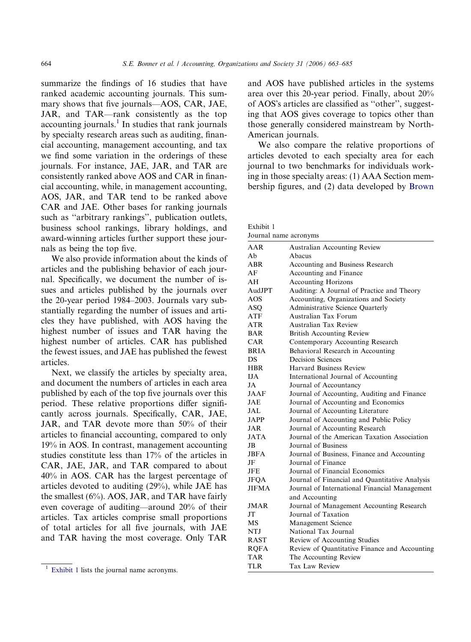summarize the findings of 16 studies that have ranked academic accounting journals. This summary shows that five journals—AOS, CAR, JAE, JAR, and TAR—rank consistently as the top accounting journals.<sup>1</sup> In studies that rank journals by specialty research areas such as auditing, financial accounting, management accounting, and tax we find some variation in the orderings of these journals. For instance, JAE, JAR, and TAR are consistently ranked above AOS and CAR in financial accounting, while, in management accounting, AOS, JAR, and TAR tend to be ranked above CAR and JAE. Other bases for ranking journals such as ''arbitrary rankings'', publication outlets, business school rankings, library holdings, and award-winning articles further support these journals as being the top five.

We also provide information about the kinds of articles and the publishing behavior of each journal. Specifically, we document the number of issues and articles published by the journals over the 20-year period 1984–2003. Journals vary substantially regarding the number of issues and articles they have published, with AOS having the highest number of issues and TAR having the highest number of articles. CAR has published the fewest issues, and JAE has published the fewest articles.

Next, we classify the articles by specialty area, and document the numbers of articles in each area published by each of the top five journals over this period. These relative proportions differ significantly across journals. Specifically, CAR, JAE, JAR, and TAR devote more than 50% of their articles to financial accounting, compared to only 19% in AOS. In contrast, management accounting studies constitute less than 17% of the articles in CAR, JAE, JAR, and TAR compared to about 40% in AOS. CAR has the largest percentage of articles devoted to auditing (29%), while JAE has the smallest  $(6\%)$ . AOS, JAR, and TAR have fairly even coverage of auditing—around 20% of their articles. Tax articles comprise small proportions of total articles for all five journals, with JAE and TAR having the most coverage. Only TAR

and AOS have published articles in the systems area over this 20-year period. Finally, about 20% of AOS's articles are classified as "other", suggesting that AOS gives coverage to topics other than those generally considered mainstream by North-American journals.

We also compare the relative proportions of articles devoted to each specialty area for each journal to two benchmarks for individuals working in those specialty areas: (1) AAA Section membership figures, and (2) data developed by [Brown](#page-20-0)

Exhibit 1 Journal name acronyms

| AAR          | Australian Accounting Review                   |
|--------------|------------------------------------------------|
| Ah           | Abacus                                         |
| <b>ABR</b>   | Accounting and Business Research               |
| AF           | Accounting and Finance                         |
| AН           | <b>Accounting Horizons</b>                     |
| AudJPT       | Auditing: A Journal of Practice and Theory     |
| AOS          | Accounting, Organizations and Society          |
| ASQ          | Administrative Science Quarterly               |
| ATF          | Australian Tax Forum                           |
| ATR          | Australian Tax Review                          |
| <b>BAR</b>   | <b>British Accounting Review</b>               |
| CAR          | Contemporary Accounting Research               |
| <b>BRIA</b>  | Behavioral Research in Accounting              |
| DS           | <b>Decision Sciences</b>                       |
| <b>HBR</b>   | Harvard Business Review                        |
| <b>IJA</b>   | International Journal of Accounting            |
| JA           | Journal of Accountancy                         |
| <b>JAAF</b>  | Journal of Accounting, Auditing and Finance    |
| JAE          | Journal of Accounting and Economics            |
| JAL          | Journal of Accounting Literature               |
| <b>JAPP</b>  | Journal of Accounting and Public Policy        |
| JAR          | Journal of Accounting Research                 |
| <b>JATA</b>  | Journal of the American Taxation Association   |
| JB           | Journal of Business                            |
| <b>JBFA</b>  | Journal of Business, Finance and Accounting    |
| JF           | Journal of Finance                             |
| JFE          | Journal of Financial Economics                 |
| <b>JFQA</b>  | Journal of Financial and Quantitative Analysis |
| <b>JIFMA</b> | Journal of International Financial Management  |
|              | and Accounting                                 |
| <b>JMAR</b>  | Journal of Management Accounting Research      |
| JT           | Journal of Taxation                            |
| МS           | Management Science                             |
| NTJ          | National Tax Journal                           |
| <b>RAST</b>  | Review of Accounting Studies                   |
| <b>RQFA</b>  | Review of Quantitative Finance and Accounting  |
| <b>TAR</b>   | The Accounting Review                          |
| <b>TLR</b>   | Tax Law Review                                 |

<sup>&</sup>lt;sup>1</sup> Exhibit 1 lists the journal name acronyms.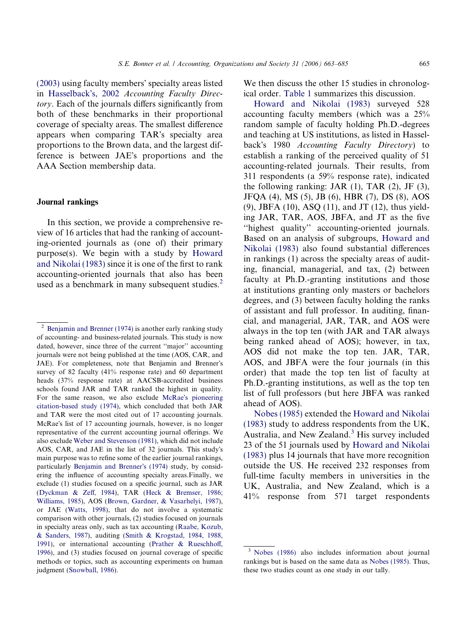[\(2003\)](#page-20-0) using faculty members' specialty areas listed in [Hasselback](#page-21-0)'s, 2002 Accounting Faculty Directory. Each of the journals differs significantly from both of these benchmarks in their proportional coverage of specialty areas. The smallest difference appears when comparing TAR's specialty area proportions to the Brown data, and the largest difference is between JAE's proportions and the AAA Section membership data.

## Journal rankings

In this section, we provide a comprehensive review of 16 articles that had the ranking of accounting-oriented journals as (one of) their primary purpose(s). We begin with a study by [Howard](#page-21-0) [and Nikolai \(1983\)](#page-21-0) since it is one of the first to rank accounting-oriented journals that also has been used as a benchmark in many subsequent studies. $<sup>2</sup>$ </sup>

We then discuss the other 15 studies in chronological order. [Table 1](#page-3-0) summarizes this discussion.

[Howard and Nikolai \(1983\)](#page-21-0) surveyed 528 accounting faculty members (which was a 25% random sample of faculty holding Ph.D.-degrees and teaching at US institutions, as listed in Hasselback's 1980 Accounting Faculty Directory) to establish a ranking of the perceived quality of 51 accounting-related journals. Their results, from 311 respondents (a 59% response rate), indicated the following ranking: JAR  $(1)$ , TAR  $(2)$ , JF  $(3)$ , JFQA (4), MS (5), JB (6), HBR (7), DS (8), AOS (9), JBFA (10), ASQ (11), and JT (12), thus yielding JAR, TAR, AOS, JBFA, and JT as the five "highest quality" accounting-oriented journals. Based on an analysis of subgroups, [Howard and](#page-21-0) [Nikolai \(1983\)](#page-21-0) also found substantial differences in rankings (1) across the specialty areas of auditing, financial, managerial, and tax, (2) between faculty at Ph.D.-granting institutions and those at institutions granting only masters or bachelors degrees, and (3) between faculty holding the ranks of assistant and full professor. In auditing, financial, and managerial, JAR, TAR, and AOS were always in the top ten (with JAR and TAR always being ranked ahead of AOS); however, in tax, AOS did not make the top ten. JAR, TAR, AOS, and JBFA were the four journals (in this order) that made the top ten list of faculty at Ph.D.-granting institutions, as well as the top ten list of full professors (but here JBFA was ranked ahead of AOS).

[Nobes \(1985\)](#page-21-0) extended the [Howard and Nikolai](#page-21-0) [\(1983\)](#page-21-0) study to address respondents from the UK, Australia, and New Zealand. $3$  His survey included 23 of the 51 journals used by [Howard and Nikolai](#page-21-0) [\(1983\)](#page-21-0) plus 14 journals that have more recognition outside the US. He received 232 responses from full-time faculty members in universities in the UK, Australia, and New Zealand, which is a 41% response from 571 target respondents

<sup>&</sup>lt;sup>2</sup> [Benjamin and Brenner \(1974\)](#page-20-0) is another early ranking study of accounting- and business-related journals. This study is now dated, however, since three of the current ''major'' accounting journals were not being published at the time (AOS, CAR, and JAE). For completeness, note that Benjamin and Brenner's survey of 82 faculty (41% response rate) and 60 department heads (37% response rate) at AACSB-accredited business schools found JAR and TAR ranked the highest in quality. For the same reason, we also exclude McRae'[s pioneering](#page-21-0) [citation-based study \(1974\)](#page-21-0), which concluded that both JAR and TAR were the most cited out of 17 accounting journals. McRae's list of 17 accounting journals, however, is no longer representative of the current accounting journal offerings. We also exclude [Weber and Stevenson \(1981\)](#page-22-0), which did not include AOS, CAR, and JAE in the list of 32 journals. This study's main purpose was to refine some of the earlier journal rankings, particularly [Benjamin and Brenner](#page-20-0)'s (1974) study, by considering the influence of accounting specialty areas.Finally, we exclude (1) studies focused on a specific journal, such as JAR [\(Dyckman & Zeff, 1984\)](#page-21-0), TAR ([Heck & Bremser, 1986;](#page-21-0) [Williams, 1985\)](#page-21-0), AOS [\(Brown, Gardner, & Vasarhelyi, 1987\)](#page-21-0), or JAE [\(Watts, 1998](#page-22-0)), that do not involve a systematic comparison with other journals, (2) studies focused on journals in specialty areas only, such as tax accounting ([Raabe, Kozub,](#page-21-0) [& Sanders, 1987](#page-21-0)), auditing [\(Smith & Krogstad, 1984, 1988,](#page-22-0) [1991](#page-22-0)), or international accounting [\(Prather & Rueschhoff,](#page-21-0) [1996](#page-21-0)), and (3) studies focused on journal coverage of specific methods or topics, such as accounting experiments on human judgment ([Snowball, 1986](#page-22-0)).

<sup>3</sup> [Nobes \(1986\)](#page-21-0) also includes information about journal rankings but is based on the same data as [Nobes \(1985\).](#page-21-0) Thus, these two studies count as one study in our tally.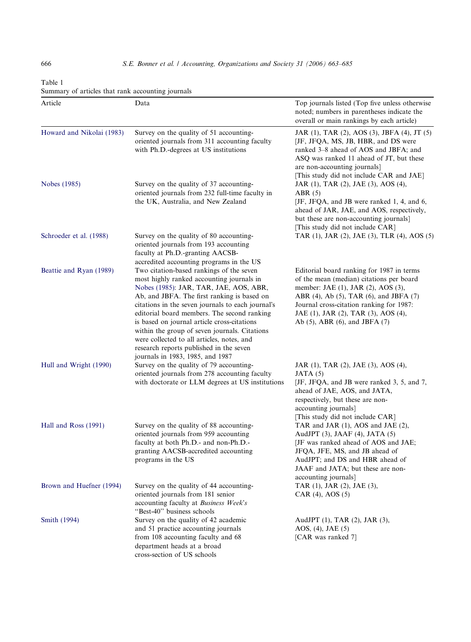<span id="page-3-0"></span>666 S.E. Bonner et al. / Accounting, Organizations and Society 31 (2006) 663–685

| Table 1                                           |  |  |
|---------------------------------------------------|--|--|
| Summary of articles that rank accounting journals |  |  |

| Article                   | Data                                                                                                                                                                                                                                                                                                                                                                                                                                                                                                            | Top journals listed (Top five unless otherwise<br>noted; numbers in parentheses indicate the<br>overall or main rankings by each article)                                                                                                                                                         |
|---------------------------|-----------------------------------------------------------------------------------------------------------------------------------------------------------------------------------------------------------------------------------------------------------------------------------------------------------------------------------------------------------------------------------------------------------------------------------------------------------------------------------------------------------------|---------------------------------------------------------------------------------------------------------------------------------------------------------------------------------------------------------------------------------------------------------------------------------------------------|
| Howard and Nikolai (1983) | Survey on the quality of 51 accounting-<br>oriented journals from 311 accounting faculty<br>with Ph.D.-degrees at US institutions                                                                                                                                                                                                                                                                                                                                                                               | JAR (1), TAR (2), AOS (3), JBFA (4), JT (5)<br>[JF, JFQA, MS, JB, HBR, and DS were<br>ranked 3-8 ahead of AOS and JBFA; and<br>ASQ was ranked 11 ahead of JT, but these<br>are non-accounting journals]<br>[This study did not include CAR and JAE]                                               |
| Nobes (1985)              | Survey on the quality of 37 accounting-<br>oriented journals from 232 full-time faculty in<br>the UK, Australia, and New Zealand                                                                                                                                                                                                                                                                                                                                                                                | JAR (1), TAR (2), JAE (3), AOS (4),<br>ABR(5)<br>[JF, JFQA, and JB were ranked 1, 4, and 6,<br>ahead of JAR, JAE, and AOS, respectively,<br>but these are non-accounting journals]<br>[This study did not include CAR]                                                                            |
| Schroeder et al. (1988)   | Survey on the quality of 80 accounting-<br>oriented journals from 193 accounting<br>faculty at Ph.D.-granting AACSB-<br>accredited accounting programs in the US                                                                                                                                                                                                                                                                                                                                                | TAR (1), JAR (2), JAE (3), TLR (4), AOS (5)                                                                                                                                                                                                                                                       |
| Beattie and Ryan (1989)   | Two citation-based rankings of the seven<br>most highly ranked accounting journals in<br>Nobes (1985): JAR, TAR, JAE, AOS, ABR,<br>Ab, and JBFA. The first ranking is based on<br>citations in the seven journals to each journal's<br>editorial board members. The second ranking<br>is based on journal article cross-citations<br>within the group of seven journals. Citations<br>were collected to all articles, notes, and<br>research reports published in the seven<br>journals in 1983, 1985, and 1987 | Editorial board ranking for 1987 in terms<br>of the mean (median) citations per board<br>member: JAE (1), JAR (2), AOS (3),<br>ABR (4), Ab (5), TAR (6), and JBFA (7)<br>Journal cross-citation ranking for 1987:<br>JAE (1), JAR (2), TAR (3), AOS (4),<br>Ab $(5)$ , ABR $(6)$ , and JBFA $(7)$ |
| Hull and Wright (1990)    | Survey on the quality of 79 accounting-<br>oriented journals from 278 accounting faculty<br>with doctorate or LLM degrees at US institutions                                                                                                                                                                                                                                                                                                                                                                    | JAR (1), TAR (2), JAE (3), AOS (4),<br>JATA(5)<br>[JF, JFQA, and JB were ranked 3, 5, and 7,<br>ahead of JAE, AOS, and JATA,<br>respectively, but these are non-<br>accounting journals]<br>[This study did not include CAR]                                                                      |
| Hall and Ross (1991)      | Survey on the quality of 88 accounting-<br>oriented journals from 959 accounting<br>faculty at both Ph.D.- and non-Ph.D.-<br>granting AACSB-accredited accounting<br>programs in the US                                                                                                                                                                                                                                                                                                                         | TAR and JAR (1), AOS and JAE (2),<br>AudJPT (3), JAAF (4), JATA (5)<br>[JF was ranked ahead of AOS and JAE;<br>JFQA, JFE, MS, and JB ahead of<br>AudJPT; and DS and HBR ahead of<br>JAAF and JATA; but these are non-<br>accounting journals]                                                     |
| Brown and Huefner (1994)  | Survey on the quality of 44 accounting-<br>oriented journals from 181 senior<br>accounting faculty at Business Week's<br>"Best-40" business schools                                                                                                                                                                                                                                                                                                                                                             | TAR (1), JAR (2), JAE (3),<br>$CAR(4)$ , AOS $(5)$                                                                                                                                                                                                                                                |
| Smith (1994)              | Survey on the quality of 42 academic<br>and 51 practice accounting journals<br>from 108 accounting faculty and 68<br>department heads at a broad<br>cross-section of US schools                                                                                                                                                                                                                                                                                                                                 | AudJPT (1), TAR (2), JAR (3),<br>AOS, $(4)$ , JAE $(5)$<br>[CAR was ranked 7]                                                                                                                                                                                                                     |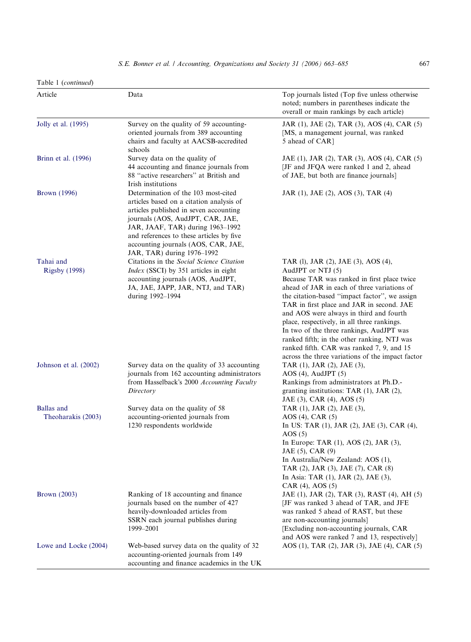| Table 1 (continued)                     |                                                                                                                                                                                                                                                                                                                    |                                                                                                                                                                                                                                                                                                                                                                                                                                                                                                                                            |
|-----------------------------------------|--------------------------------------------------------------------------------------------------------------------------------------------------------------------------------------------------------------------------------------------------------------------------------------------------------------------|--------------------------------------------------------------------------------------------------------------------------------------------------------------------------------------------------------------------------------------------------------------------------------------------------------------------------------------------------------------------------------------------------------------------------------------------------------------------------------------------------------------------------------------------|
| Article                                 | Data                                                                                                                                                                                                                                                                                                               | Top journals listed (Top five unless otherwise<br>noted; numbers in parentheses indicate the<br>overall or main rankings by each article)                                                                                                                                                                                                                                                                                                                                                                                                  |
| Jolly et al. (1995)                     | Survey on the quality of 59 accounting-<br>oriented journals from 389 accounting<br>chairs and faculty at AACSB-accredited<br>schools                                                                                                                                                                              | JAR (1), JAE (2), TAR (3), AOS (4), CAR (5)<br>[MS, a management journal, was ranked<br>5 ahead of CAR]                                                                                                                                                                                                                                                                                                                                                                                                                                    |
| Brinn et al. (1996)                     | Survey data on the quality of<br>44 accounting and finance journals from<br>88 "active researchers" at British and<br>Irish institutions                                                                                                                                                                           | JAE (1), JAR (2), TAR (3), AOS (4), CAR (5)<br>[JF and JFQA were ranked 1 and 2, ahead<br>of JAE, but both are finance journals]                                                                                                                                                                                                                                                                                                                                                                                                           |
| <b>Brown</b> (1996)                     | Determination of the 103 most-cited<br>articles based on a citation analysis of<br>articles published in seven accounting<br>journals (AOS, AudJPT, CAR, JAE,<br>JAR, JAAF, TAR) during 1963–1992<br>and references to these articles by five<br>accounting journals (AOS, CAR, JAE,<br>JAR, TAR) during 1976-1992 | JAR (1), JAE (2), AOS (3), TAR (4)                                                                                                                                                                                                                                                                                                                                                                                                                                                                                                         |
| Tahai and<br><b>Rigsby</b> (1998)       | Citations in the Social Science Citation<br><i>Index</i> (SSCI) by 351 articles in eight<br>accounting journals (AOS, AudJPT,<br>JA, JAE, JAPP, JAR, NTJ, and TAR)<br>during 1992-1994                                                                                                                             | TAR (1), JAR (2), JAE (3), AOS (4),<br>AudJPT or NTJ (5)<br>Because TAR was ranked in first place twice<br>ahead of JAR in each of three variations of<br>the citation-based "impact factor", we assign<br>TAR in first place and JAR in second. JAE<br>and AOS were always in third and fourth<br>place, respectively, in all three rankings.<br>In two of the three rankings, AudJPT was<br>ranked fifth; in the other ranking, NTJ was<br>ranked fifth. CAR was ranked 7, 9, and 15<br>across the three variations of the impact factor |
| Johnson et al. (2002)                   | Survey data on the quality of 33 accounting<br>journals from 162 accounting administrators<br>from Hasselback's 2000 Accounting Faculty<br>Directory                                                                                                                                                               | TAR (1), JAR (2), JAE (3),<br>$AOS(4)$ , AudJPT $(5)$<br>Rankings from administrators at Ph.D.-<br>granting institutions: TAR $(1)$ , JAR $(2)$ ,<br>JAE (3), CAR (4), AOS (5)                                                                                                                                                                                                                                                                                                                                                             |
| <b>Ballas</b> and<br>Theoharakis (2003) | Survey data on the quality of 58<br>accounting-oriented journals from<br>1230 respondents worldwide                                                                                                                                                                                                                | TAR (1), JAR (2), JAE (3),<br>$AOS(4)$ , CAR $(5)$<br>In US: TAR (1), JAR (2), JAE (3), CAR (4),<br>AOS(5)<br>In Europe: TAR $(1)$ , AOS $(2)$ , JAR $(3)$ ,<br>JAE (5), CAR (9)<br>In Australia/New Zealand: AOS (1),<br>TAR (2), JAR (3), JAE (7), CAR (8)<br>In Asia: TAR (1), JAR (2), JAE (3),<br>$CAR (4)$ , $AOS (5)$                                                                                                                                                                                                               |
| <b>Brown</b> (2003)                     | Ranking of 18 accounting and finance                                                                                                                                                                                                                                                                               | JAE (1), JAR (2), TAR (3), RAST (4), AH (5)                                                                                                                                                                                                                                                                                                                                                                                                                                                                                                |

[JF was ranked 3 ahead of TAR, and JFE was ranked 5 ahead of RAST, but these

[Excluding non-accounting journals, CAR and AOS were ranked 7 and 13, respectively]

AOS (1), TAR (2), JAR (3), JAE (4), CAR (5)

are non-accounting journals]

## [Lowe and Locke \(2004\)](#page-21-0) Web-based survey data on the quality of 32

| accounting-oriented journals from 149      |  |  |
|--------------------------------------------|--|--|
| accounting and finance academics in the UK |  |  |

1999–2001

journals based on the number of 427 heavily-downloaded articles from SSRN each journal publishes during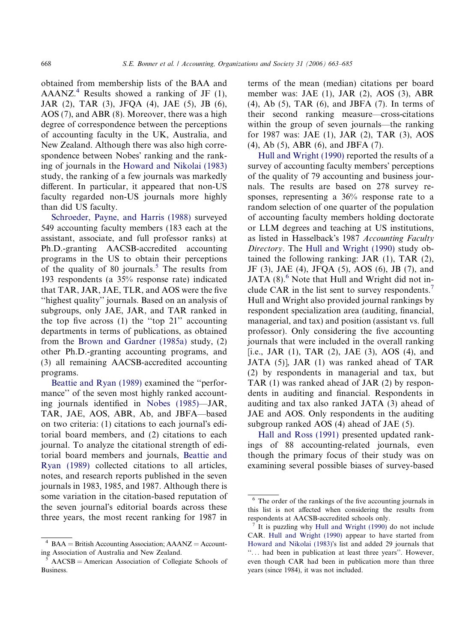obtained from membership lists of the BAA and AAANZ.<sup>4</sup> Results showed a ranking of JF  $(1)$ , JAR (2), TAR (3), JFQA (4), JAE (5), JB (6), AOS (7), and ABR (8). Moreover, there was a high degree of correspondence between the perceptions of accounting faculty in the UK, Australia, and New Zealand. Although there was also high correspondence between Nobes' ranking and the ranking of journals in the [Howard and Nikolai \(1983\)](#page-21-0) study, the ranking of a few journals was markedly different. In particular, it appeared that non-US faculty regarded non-US journals more highly than did US faculty.

[Schroeder, Payne, and Harris \(1988\)](#page-22-0) surveyed 549 accounting faculty members (183 each at the assistant, associate, and full professor ranks) at Ph.D.-granting AACSB-accredited accounting programs in the US to obtain their perceptions of the quality of 80 journals.<sup>5</sup> The results from 193 respondents (a 35% response rate) indicated that TAR, JAR, JAE, TLR, and AOS were the five ''highest quality'' journals. Based on an analysis of subgroups, only JAE, JAR, and TAR ranked in the top five across (1) the ''top 21'' accounting departments in terms of publications, as obtained from the [Brown and Gardner \(1985a\)](#page-21-0) study, (2) other Ph.D.-granting accounting programs, and (3) all remaining AACSB-accredited accounting programs.

[Beattie and Ryan \(1989\)](#page-20-0) examined the ''performance'' of the seven most highly ranked accounting journals identified in [Nobes \(1985\)](#page-21-0)—JAR, TAR, JAE, AOS, ABR, Ab, and JBFA—based on two criteria: (1) citations to each journal's editorial board members, and (2) citations to each journal. To analyze the citational strength of editorial board members and journals, [Beattie and](#page-20-0) [Ryan \(1989\)](#page-20-0) collected citations to all articles, notes, and research reports published in the seven journals in 1983, 1985, and 1987. Although there is some variation in the citation-based reputation of the seven journal's editorial boards across these three years, the most recent ranking for 1987 in terms of the mean (median) citations per board member was: JAE (1), JAR (2), AOS (3), ABR (4), Ab (5), TAR (6), and JBFA (7). In terms of their second ranking measure—cross-citations within the group of seven journals—the ranking for 1987 was: JAE (1), JAR (2), TAR (3), AOS (4), Ab (5), ABR (6), and JBFA (7).

[Hull and Wright \(1990\)](#page-21-0) reported the results of a survey of accounting faculty members' perceptions of the quality of 79 accounting and business journals. The results are based on 278 survey responses, representing a 36% response rate to a random selection of one quarter of the population of accounting faculty members holding doctorate or LLM degrees and teaching at US institutions, as listed in Hasselback's 1987 Accounting Faculty Directory. The [Hull and Wright \(1990\)](#page-21-0) study obtained the following ranking: JAR (1), TAR (2), JF (3), JAE (4), JFQA (5), AOS (6), JB (7), and JATA  $(8)$ .<sup>6</sup> Note that Hull and Wright did not include CAR in the list sent to survey respondents.<sup>7</sup> Hull and Wright also provided journal rankings by respondent specialization area (auditing, financial, managerial, and tax) and position (assistant vs. full professor). Only considering the five accounting journals that were included in the overall ranking [i.e., JAR (1), TAR (2), JAE (3), AOS (4), and JATA (5)], JAR (1) was ranked ahead of TAR (2) by respondents in managerial and tax, but TAR (1) was ranked ahead of JAR (2) by respondents in auditing and financial. Respondents in auditing and tax also ranked JATA (3) ahead of JAE and AOS. Only respondents in the auditing subgroup ranked AOS (4) ahead of JAE (5).

[Hall and Ross \(1991\)](#page-21-0) presented updated rankings of 88 accounting-related journals, even though the primary focus of their study was on examining several possible biases of survey-based

 $4$  BAA = British Accounting Association; AAANZ = Accounting Association of Australia and New Zealand.

<sup>5</sup> AACSB = American Association of Collegiate Schools of Business.

<sup>6</sup> The order of the rankings of the five accounting journals in this list is not affected when considering the results from respondents at AACSB-accredited schools only.

It is puzzling why [Hull and Wright \(1990\)](#page-21-0) do not include CAR. [Hull and Wright \(1990\)](#page-21-0) appear to have started from [Howard and Nikolai \(1983\)](#page-21-0)'s list and added 29 journals that ''... had been in publication at least three years''. However, even though CAR had been in publication more than three years (since 1984), it was not included.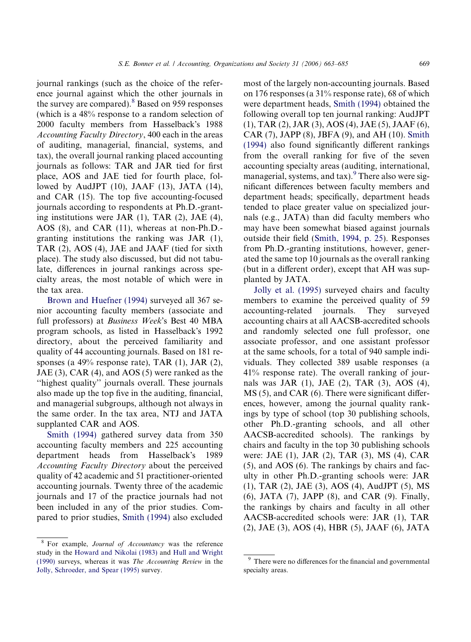journal rankings (such as the choice of the reference journal against which the other journals in the survey are compared).<sup>8</sup> Based on 959 responses (which is a 48% response to a random selection of 2000 faculty members from Hasselback's 1988 Accounting Faculty Directory, 400 each in the areas of auditing, managerial, financial, systems, and tax), the overall journal ranking placed accounting journals as follows: TAR and JAR tied for first place, AOS and JAE tied for fourth place, followed by AudJPT (10), JAAF (13), JATA (14), and CAR (15). The top five accounting-focused journals according to respondents at Ph.D.-granting institutions were JAR (1), TAR (2), JAE (4), AOS (8), and CAR (11), whereas at non-Ph.D. granting institutions the ranking was JAR (1), TAR (2), AOS (4), JAE and JAAF (tied for sixth place). The study also discussed, but did not tabulate, differences in journal rankings across specialty areas, the most notable of which were in the tax area.

[Brown and Huefner \(1994\)](#page-21-0) surveyed all 367 senior accounting faculty members (associate and full professors) at Business Week's Best 40 MBA program schools, as listed in Hasselback's 1992 directory, about the perceived familiarity and quality of 44 accounting journals. Based on 181 responses (a  $49\%$  response rate), TAR (1), JAR (2), JAE (3), CAR (4), and AOS (5) were ranked as the ''highest quality'' journals overall. These journals also made up the top five in the auditing, financial, and managerial subgroups, although not always in the same order. In the tax area, NTJ and JATA supplanted CAR and AOS.

[Smith \(1994\)](#page-22-0) gathered survey data from 350 accounting faculty members and 225 accounting department heads from Hasselback's s 1989 Accounting Faculty Directory about the perceived quality of 42 academic and 51 practitioner-oriented accounting journals. Twenty three of the academic journals and 17 of the practice journals had not been included in any of the prior studies. Compared to prior studies, [Smith \(1994\)](#page-22-0) also excluded

most of the largely non-accounting journals. Based on 176 responses (a 31% response rate), 68 of which were department heads, [Smith \(1994\)](#page-22-0) obtained the following overall top ten journal ranking: AudJPT (1), TAR (2), JAR (3), AOS (4), JAE (5), JAAF (6), CAR (7), JAPP (8), JBFA (9), and AH (10). [Smith](#page-22-0) [\(1994\)](#page-22-0) also found significantly different rankings from the overall ranking for five of the seven accounting specialty areas (auditing, international, managerial, systems, and  $\text{tax}$ ). There also were significant differences between faculty members and department heads; specifically, department heads tended to place greater value on specialized journals (e.g., JATA) than did faculty members who may have been somewhat biased against journals outside their field ([Smith, 1994, p. 25\)](#page-22-0). Responses from Ph.D.-granting institutions, however, generated the same top 10 journals as the overall ranking (but in a different order), except that AH was supplanted by JATA.

[Jolly et al. \(1995\)](#page-21-0) surveyed chairs and faculty members to examine the perceived quality of 59 accounting-related journals. They surveyed accounting chairs at all AACSB-accredited schools and randomly selected one full professor, one associate professor, and one assistant professor at the same schools, for a total of 940 sample individuals. They collected 389 usable responses (a 41% response rate). The overall ranking of journals was JAR (1), JAE (2), TAR (3), AOS (4), MS (5), and CAR (6). There were significant differences, however, among the journal quality rankings by type of school (top 30 publishing schools, other Ph.D.-granting schools, and all other AACSB-accredited schools). The rankings by chairs and faculty in the top 30 publishing schools were: JAE (1), JAR (2), TAR (3), MS (4), CAR (5), and AOS (6). The rankings by chairs and faculty in other Ph.D.-granting schools were: JAR (1), TAR (2), JAE (3), AOS (4), AudJPT (5), MS (6), JATA (7), JAPP (8), and CAR (9). Finally, the rankings by chairs and faculty in all other AACSB-accredited schools were: JAR (1), TAR (2), JAE (3), AOS (4), HBR (5), JAAF (6), JATA

<sup>&</sup>lt;sup>8</sup> For example, Journal of Accountancy was the reference study in the [Howard and Nikolai \(1983\)](#page-21-0) and [Hull and Wright](#page-21-0) [\(1990\)](#page-21-0) surveys, whereas it was The Accounting Review in the [Jolly, Schroeder, and Spear \(1995\)](#page-21-0) survey.

<sup>&</sup>lt;sup>9</sup> There were no differences for the financial and governmental specialty areas.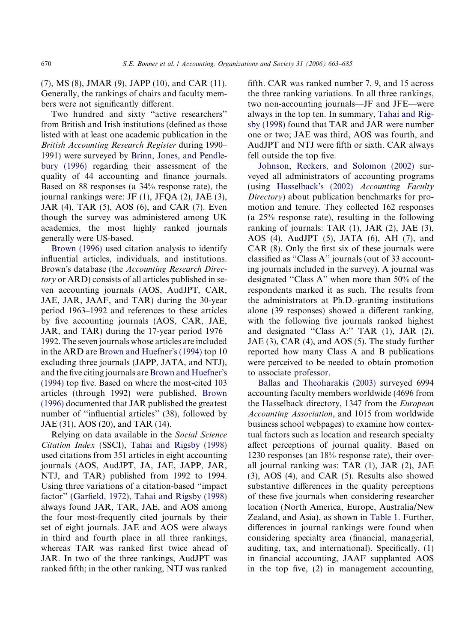(7), MS (8), JMAR (9), JAPP (10), and CAR (11). Generally, the rankings of chairs and faculty members were not significantly different.

Two hundred and sixty ''active researchers'' from British and Irish institutions (defined as those listed with at least one academic publication in the British Accounting Research Register during 1990– 1991) were surveyed by [Brinn, Jones, and Pendle](#page-20-0)[bury \(1996\)](#page-20-0) regarding their assessment of the quality of 44 accounting and finance journals. Based on 88 responses (a 34% response rate), the journal rankings were: JF (1), JFQA (2), JAE (3), JAR (4), TAR (5), AOS (6), and CAR (7). Even though the survey was administered among UK academics, the most highly ranked journals generally were US-based.

[Brown \(1996\)](#page-20-0) used citation analysis to identify influential articles, individuals, and institutions. Brown's database (the Accounting Research Directory or ARD) consists of all articles published in seven accounting journals (AOS, AudJPT, CAR, JAE, JAR, JAAF, and TAR) during the 30-year period 1963–1992 and references to these articles by five accounting journals (AOS, CAR, JAE, JAR, and TAR) during the 17-year period 1976– 1992. The seven journals whose articles are included in the ARD are [Brown and Huefner](#page-21-0)'s (1994) top 10 excluding three journals (JAPP, JATA, and NTJ), and the five citing journals are [Brown and Huefner](#page-21-0)'s [\(1994\)](#page-21-0) top five. Based on where the most-cited 103 articles (through 1992) were published, [Brown](#page-20-0) [\(1996\)](#page-20-0) documented that JAR published the greatest number of "influential articles" (38), followed by JAE (31), AOS (20), and TAR (14).

Relying on data available in the Social Science Citation Index (SSCI), [Tahai and Rigsby \(1998\)](#page-22-0) used citations from 351 articles in eight accounting journals (AOS, AudJPT, JA, JAE, JAPP, JAR, NTJ, and TAR) published from 1992 to 1994. Using three variations of a citation-based ''impact factor'' ([Garfield, 1972](#page-21-0)), [Tahai and Rigsby \(1998\)](#page-22-0) always found JAR, TAR, JAE, and AOS among the four most-frequently cited journals by their set of eight journals. JAE and AOS were always in third and fourth place in all three rankings, whereas TAR was ranked first twice ahead of JAR. In two of the three rankings, AudJPT was ranked fifth; in the other ranking, NTJ was ranked

fifth. CAR was ranked number 7, 9, and 15 across the three ranking variations. In all three rankings, two non-accounting journals—JF and JFE—were always in the top ten. In summary, [Tahai and Rig](#page-22-0)[sby \(1998\)](#page-22-0) found that TAR and JAR were number one or two; JAE was third, AOS was fourth, and AudJPT and NTJ were fifth or sixth. CAR always fell outside the top five.

[Johnson, Reckers, and Solomon \(2002\)](#page-21-0) surveyed all administrators of accounting programs (using [Hasselback](#page-21-0)'s (2002) Accounting Faculty Directory) about publication benchmarks for promotion and tenure. They collected 162 responses (a 25% response rate), resulting in the following ranking of journals: TAR  $(1)$ , JAR  $(2)$ , JAE  $(3)$ , AOS (4), AudJPT (5), JATA (6), AH (7), and CAR (8). Only the first six of these journals were classified as ''Class A'' journals (out of 33 accounting journals included in the survey). A journal was designated ''Class A'' when more than 50% of the respondents marked it as such. The results from the administrators at Ph.D.-granting institutions alone (39 responses) showed a different ranking, with the following five journals ranked highest and designated ''Class A:'' TAR (1), JAR (2), JAE (3), CAR (4), and AOS (5). The study further reported how many Class A and B publications were perceived to be needed to obtain promotion to associate professor.

[Ballas and Theoharakis \(2003\)](#page-20-0) surveyed 6994 accounting faculty members worldwide (4696 from the Hasselback directory, 1347 from the European Accounting Association, and 1015 from worldwide business school webpages) to examine how contextual factors such as location and research specialty affect perceptions of journal quality. Based on 1230 responses (an 18% response rate), their overall journal ranking was: TAR (1), JAR (2), JAE (3), AOS (4), and CAR (5). Results also showed substantive differences in the quality perceptions of these five journals when considering researcher location (North America, Europe, Australia/New Zealand, and Asia), as shown in [Table 1](#page-3-0). Further, differences in journal rankings were found when considering specialty area (financial, managerial, auditing, tax, and international). Specifically, (1) in financial accounting, JAAF supplanted AOS in the top five, (2) in management accounting,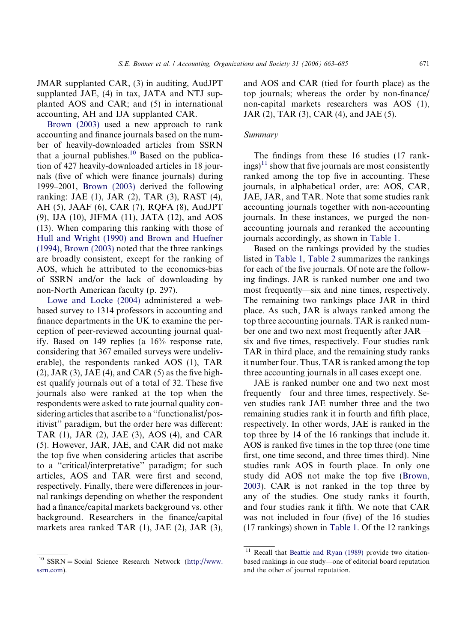JMAR supplanted CAR, (3) in auditing, AudJPT supplanted JAE, (4) in tax, JATA and NTJ supplanted AOS and CAR; and (5) in international accounting, AH and IJA supplanted CAR.

[Brown \(2003\)](#page-20-0) used a new approach to rank accounting and finance journals based on the number of heavily-downloaded articles from SSRN that a journal publishes. $10$  Based on the publication of 427 heavily-downloaded articles in 18 journals (five of which were finance journals) during 1999–2001, [Brown \(2003\)](#page-20-0) derived the following ranking: JAE (1), JAR (2), TAR (3), RAST (4), AH (5), JAAF (6), CAR (7), RQFA (8), AudJPT (9), IJA (10), JIFMA (11), JATA (12), and AOS (13). When comparing this ranking with those of [Hull and Wright \(1990\) and Brown and Huefner](#page-21-0) [\(1994\)](#page-21-0), [Brown \(2003\)](#page-20-0) noted that the three rankings are broadly consistent, except for the ranking of AOS, which he attributed to the economics-bias of SSRN and/or the lack of downloading by non-North American faculty (p. 297).

[Lowe and Locke \(2004\)](#page-21-0) administered a webbased survey to 1314 professors in accounting and finance departments in the UK to examine the perception of peer-reviewed accounting journal qualify. Based on 149 replies (a 16% response rate, considering that 367 emailed surveys were undeliverable), the respondents ranked AOS (1), TAR  $(2)$ , JAR  $(3)$ , JAE  $(4)$ , and CAR  $(5)$  as the five highest qualify journals out of a total of 32. These five journals also were ranked at the top when the respondents were asked to rate journal quality considering articles that ascribe to a ''functionalist/positivist'' paradigm, but the order here was different: TAR (1), JAR (2), JAE (3), AOS (4), and CAR (5). However, JAR, JAE, and CAR did not make the top five when considering articles that ascribe to a ''critical/interpretative'' paradigm; for such articles, AOS and TAR were first and second, respectively. Finally, there were differences in journal rankings depending on whether the respondent had a finance/capital markets background vs. other background. Researchers in the finance/capital markets area ranked TAR (1), JAE (2), JAR (3),

 $10$  SSRN = Social Science Research Network [\(http://www.](http://www.ssrn.com) [ssrn.com\)](http://www.ssrn.com).

and AOS and CAR (tied for fourth place) as the top journals; whereas the order by non-finance/ non-capital markets researchers was AOS (1), JAR (2), TAR (3), CAR (4), and JAE (5).

## Summary

The findings from these 16 studies (17 rank- $\text{ings})^{11}$  show that five journals are most consistently ranked among the top five in accounting. These journals, in alphabetical order, are: AOS, CAR, JAE, JAR, and TAR. Note that some studies rank accounting journals together with non-accounting journals. In these instances, we purged the nonaccounting journals and reranked the accounting journals accordingly, as shown in [Table 1](#page-3-0).

Based on the rankings provided by the studies listed in [Table 1](#page-3-0), [Table 2](#page-9-0) summarizes the rankings for each of the five journals. Of note are the following findings. JAR is ranked number one and two most frequently—six and nine times, respectively. The remaining two rankings place JAR in third place. As such, JAR is always ranked among the top three accounting journals. TAR is ranked number one and two next most frequently after JAR six and five times, respectively. Four studies rank TAR in third place, and the remaining study ranks it number four. Thus, TAR is ranked among the top three accounting journals in all cases except one.

JAE is ranked number one and two next most frequently—four and three times, respectively. Seven studies rank JAE number three and the two remaining studies rank it in fourth and fifth place, respectively. In other words, JAE is ranked in the top three by 14 of the 16 rankings that include it. AOS is ranked five times in the top three (one time first, one time second, and three times third). Nine studies rank AOS in fourth place. In only one study did AOS not make the top five [\(Brown,](#page-20-0) [2003\)](#page-20-0). CAR is not ranked in the top three by any of the studies. One study ranks it fourth, and four studies rank it fifth. We note that CAR was not included in four (five) of the 16 studies (17 rankings) shown in [Table 1.](#page-3-0) Of the 12 rankings

Recall that [Beattie and Ryan \(1989\)](#page-20-0) provide two citationbased rankings in one study—one of editorial board reputation and the other of journal reputation.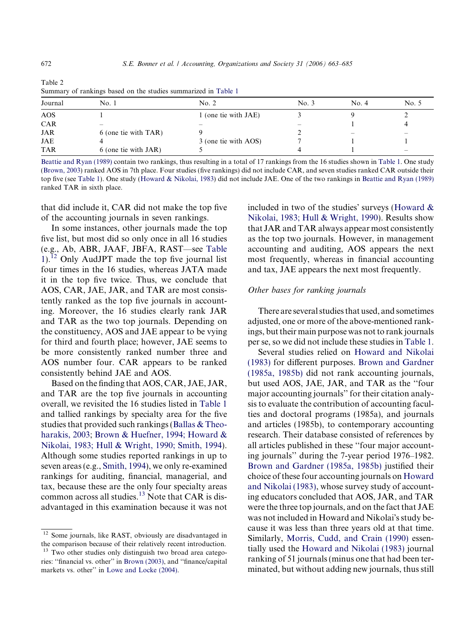| Journal    | No. 1                | No. 2                | No. 3  | No. 4 | No. 5                    |
|------------|----------------------|----------------------|--------|-------|--------------------------|
| AOS        |                      | 1 (one tie with JAE) |        |       |                          |
| <b>CAR</b> | $\sim$               | $\hspace{0.05cm}$    | $\sim$ |       |                          |
| <b>JAR</b> | 6 (one tie with TAR) |                      |        | -     | $\overline{\phantom{a}}$ |
| JAE        |                      | 3 (one tie with AOS) |        |       |                          |
| <b>TAR</b> | 6 (one tie with JAR) |                      |        |       | $\sim$                   |

<span id="page-9-0"></span>

| Table 2                                                        |  |
|----------------------------------------------------------------|--|
| Summary of rankings based on the studies summarized in Table 1 |  |

[Beattie and Ryan \(1989\)](#page-20-0) contain two rankings, thus resulting in a total of 17 rankings from the 16 studies shown in [Table 1](#page-3-0). One study [\(Brown, 2003\)](#page-20-0) ranked AOS in 7th place. Four studies (five rankings) did not include CAR, and seven studies ranked CAR outside their top five (see [Table 1\)](#page-3-0). One study [\(Howard & Nikolai, 1983](#page-21-0)) did not include JAE. One of the two rankings in [Beattie and Ryan \(1989\)](#page-20-0) ranked TAR in sixth place.

that did include it, CAR did not make the top five of the accounting journals in seven rankings.

In some instances, other journals made the top five list, but most did so only once in all 16 studies (e.g., Ab, ABR, JAAF, JBFA, RAST—see [Table](#page-3-0) [1](#page-3-0)).<sup>12</sup> Only AudJPT made the top five journal list four times in the 16 studies, whereas JATA made it in the top five twice. Thus, we conclude that AOS, CAR, JAE, JAR, and TAR are most consistently ranked as the top five journals in accounting. Moreover, the 16 studies clearly rank JAR and TAR as the two top journals. Depending on the constituency, AOS and JAE appear to be vying for third and fourth place; however, JAE seems to be more consistently ranked number three and AOS number four. CAR appears to be ranked consistently behind JAE and AOS.

Based on the finding that AOS, CAR, JAE, JAR, and TAR are the top five journals in accounting overall, we revisited the 16 studies listed in [Table 1](#page-3-0) and tallied rankings by specialty area for the five studies that provided such rankings [\(Ballas & Theo](#page-20-0)[harakis, 2003](#page-20-0); [Brown & Huefner, 1994; Howard &](#page-21-0) [Nikolai, 1983; Hull & Wright, 1990; Smith, 1994\)](#page-21-0). Although some studies reported rankings in up to seven areas (e.g., [Smith, 1994\)](#page-22-0), we only re-examined rankings for auditing, financial, managerial, and tax, because these are the only four specialty areas common across all studies.<sup>13</sup> Note that CAR is disadvantaged in this examination because it was not

<sup>12</sup> Some journals, like RAST, obviously are disadvantaged in the comparison because of their relatively recent introduction.

included in two of the studies' surveys (Howard  $\&$ [Nikolai, 1983; Hull & Wright, 1990](#page-21-0)). Results show that JAR and TAR always appear most consistently as the top two journals. However, in management accounting and auditing, AOS appears the next most frequently, whereas in financial accounting and tax, JAE appears the next most frequently.

## Other bases for ranking journals

There are several studies that used, and sometimes adjusted, one or more of the above-mentioned rankings, but their main purpose was not to rank journals per se, so we did not include these studies in [Table 1](#page-3-0).

Several studies relied on [Howard and Nikolai](#page-21-0) [\(1983\)](#page-21-0) for different purposes. [Brown and Gardner](#page-21-0) [\(1985a, 1985b\)](#page-21-0) did not rank accounting journals, but used AOS, JAE, JAR, and TAR as the ''four major accounting journals'' for their citation analysis to evaluate the contribution of accounting faculties and doctoral programs (1985a), and journals and articles (1985b), to contemporary accounting research. Their database consisted of references by all articles published in these ''four major accounting journals'' during the 7-year period 1976–1982. [Brown and Gardner \(1985a, 1985b\)](#page-21-0) justified their choice of these four accounting journals on [Howard](#page-21-0) [and Nikolai \(1983\),](#page-21-0) whose survey study of accounting educators concluded that AOS, JAR, and TAR were the three top journals, and on the fact that JAE was not included in Howard and Nikolai's study because it was less than three years old at that time. Similarly, [Morris, Cudd, and Crain \(1990\)](#page-21-0) essentially used the [Howard and Nikolai \(1983\)](#page-21-0) journal ranking of 51 journals (minus one that had been terminated, but without adding new journals, thus still

Two other studies only distinguish two broad area categories: ''financial vs. other'' in [Brown \(2003\)](#page-20-0), and ''finance/capital markets vs. other'' in [Lowe and Locke \(2004\)](#page-21-0).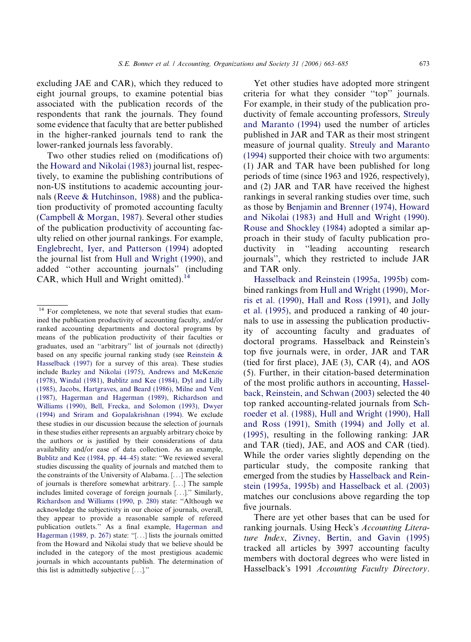excluding JAE and CAR), which they reduced to eight journal groups, to examine potential bias associated with the publication records of the respondents that rank the journals. They found some evidence that faculty that are better published in the higher-ranked journals tend to rank the lower-ranked journals less favorably.

Two other studies relied on (modifications of) the [Howard and Nikolai \(1983\)](#page-21-0) journal list, respectively, to examine the publishing contributions of non-US institutions to academic accounting journals ([Reeve & Hutchinson, 1988](#page-22-0)) and the publication productivity of promoted accounting faculty ([Campbell & Morgan, 1987\)](#page-21-0). Several other studies of the publication productivity of accounting faculty relied on other journal rankings. For example, [Englebrecht, Iyer, and Patterson \(1994\)](#page-21-0) adopted the journal list from [Hull and Wright \(1990\),](#page-21-0) and added ''other accounting journals'' (including CAR, which Hull and Wright omitted).<sup>14</sup>

Yet other studies have adopted more stringent criteria for what they consider ''top'' journals. For example, in their study of the publication productivity of female accounting professors, [Streuly](#page-22-0) [and Maranto \(1994\)](#page-22-0) used the number of articles published in JAR and TAR as their most stringent measure of journal quality. [Streuly and Maranto](#page-22-0) [\(1994\)](#page-22-0) supported their choice with two arguments: (1) JAR and TAR have been published for long periods of time (since 1963 and 1926, respectively), and (2) JAR and TAR have received the highest rankings in several ranking studies over time, such as those by [Benjamin and Brenner \(1974\), Howard](#page-20-0) [and Nikolai \(1983\) and Hull and Wright \(1990\)](#page-20-0). [Rouse and Shockley \(1984\)](#page-22-0) adopted a similar approach in their study of faculty publication productivity in ''leading accounting research journals'', which they restricted to include JAR and TAR only.

[Hasselback and Reinstein \(1995a, 1995b\)](#page-21-0) combined rankings from [Hull and Wright \(1990\)](#page-21-0), [Mor](#page-21-0)[ris et al. \(1990\),](#page-21-0) [Hall and Ross \(1991\),](#page-21-0) and [Jolly](#page-21-0) [et al. \(1995\),](#page-21-0) and produced a ranking of 40 journals to use in assessing the publication productivity of accounting faculty and graduates of doctoral programs. Hasselback and Reinstein's top five journals were, in order, JAR and TAR (tied for first place), JAE (3), CAR (4), and AOS (5). Further, in their citation-based determination of the most prolific authors in accounting, [Hassel](#page-21-0)[back, Reinstein, and Schwan \(2003\)](#page-21-0) selected the 40 top ranked accounting-related journals from [Sch](#page-22-0)[roeder et al. \(1988\), Hull and Wright \(1990\), Hall](#page-22-0) [and Ross \(1991\), Smith \(1994\) and Jolly et al.](#page-22-0) [\(1995\)](#page-22-0), resulting in the following ranking: JAR and TAR (tied), JAE, and AOS and CAR (tied). While the order varies slightly depending on the particular study, the composite ranking that emerged from the studies by [Hasselback and Rein](#page-21-0)[stein \(1995a, 1995b\) and Hasselback et al. \(2003\)](#page-21-0) matches our conclusions above regarding the top five journals.

There are yet other bases that can be used for ranking journals. Using Heck's Accounting Literature Index, [Zivney, Bertin, and Gavin \(1995\)](#page-22-0) tracked all articles by 3997 accounting faculty members with doctoral degrees who were listed in Hasselback's 1991 Accounting Faculty Directory.

<sup>&</sup>lt;sup>14</sup> For completeness, we note that several studies that examined the publication productivity of accounting faculty, and/or ranked accounting departments and doctoral programs by means of the publication productivity of their faculties or graduates, used an ''arbitrary'' list of journals not (directly) based on any specific journal ranking study (see [Reinstein &](#page-22-0) [Hasselback \(1997\)](#page-22-0) for a survey of this area). These studies include [Bazley and Nikolai \(1975\), Andrews and McKenzie](#page-20-0) [\(1978\), Windal \(1981\), Bublitz and Kee \(1984\), Dyl and Lilly](#page-20-0) [\(1985\), Jacobs, Hartgraves, and Beard \(1986\), Milne and Vent](#page-20-0) [\(1987\), Hagerman and Hagerman \(1989\), Richardson and](#page-20-0) [Williams \(1990\), Bell, Frecka, and Solomon \(1993\), Dwyer](#page-20-0) [\(1994\) and Sriram and Gopalakrishnan \(1994\)](#page-20-0). We exclude these studies in our discussion because the selection of journals in these studies either represents an arguably arbitrary choice by the authors or is justified by their considerations of data availability and/or ease of data collection. As an example, [Bublitz and Kee \(1984, pp. 44–45\)](#page-21-0) state: ''We reviewed several studies discussing the quality of journals and matched them to the constraints of the University of Alabama. [...] The selection of journals is therefore somewhat arbitrary. [...] The sample includes limited coverage of foreign journals [...].'' Similarly, [Richardson and Williams \(1990, p. 280\)](#page-22-0) state: ''Although we acknowledge the subjectivity in our choice of journals, overall, they appear to provide a reasonable sample of refereed publication outlets.'' As a final example, [Hagerman and](#page-21-0) [Hagerman \(1989, p. 267\)](#page-21-0) state: ''[...] lists the journals omitted from the Howard and Nikolai study that we believe should be included in the category of the most prestigious academic journals in which accountants publish. The determination of this list is admittedly subjective [...].''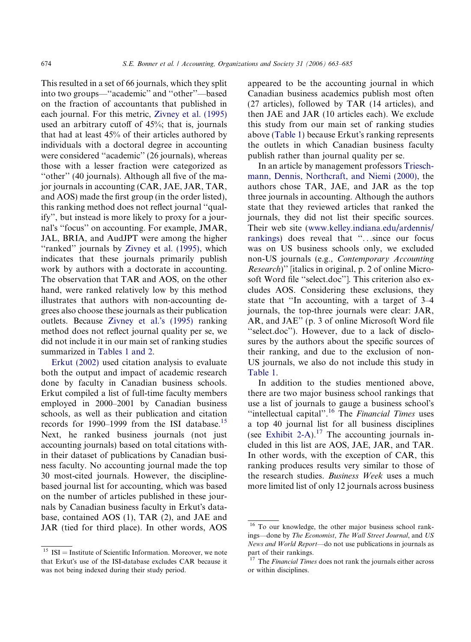This resulted in a set of 66 journals, which they split into two groups—''academic'' and ''other''—based on the fraction of accountants that published in each journal. For this metric, [Zivney et al. \(1995\)](#page-22-0) used an arbitrary cutoff of 45%; that is, journals that had at least 45% of their articles authored by individuals with a doctoral degree in accounting were considered ''academic'' (26 journals), whereas those with a lesser fraction were categorized as ''other'' (40 journals). Although all five of the major journals in accounting (CAR, JAE, JAR, TAR, and AOS) made the first group (in the order listed), this ranking method does not reflect journal ''qualify'', but instead is more likely to proxy for a journal's "focus" on accounting. For example, JMAR, JAL, BRIA, and AudJPT were among the higher "ranked" journals by [Zivney et al. \(1995\),](#page-22-0) which indicates that these journals primarily publish work by authors with a doctorate in accounting. The observation that TAR and AOS, on the other hand, were ranked relatively low by this method illustrates that authors with non-accounting degrees also choose these journals as their publication outlets. Because [Zivney et al.](#page-22-0)'s (1995) ranking method does not reflect journal quality per se, we did not include it in our main set of ranking studies summarized in [Tables 1 and 2](#page-3-0).

[Erkut \(2002\)](#page-21-0) used citation analysis to evaluate both the output and impact of academic research done by faculty in Canadian business schools. Erkut compiled a list of full-time faculty members employed in 2000–2001 by Canadian business schools, as well as their publication and citation records for 1990–1999 from the ISI database.<sup>15</sup> Next, he ranked business journals (not just accounting journals) based on total citations within their dataset of publications by Canadian business faculty. No accounting journal made the top 30 most-cited journals. However, the disciplinebased journal list for accounting, which was based on the number of articles published in these journals by Canadian business faculty in Erkut's database, contained AOS (1), TAR (2), and JAE and JAR (tied for third place). In other words, AOS

appeared to be the accounting journal in which Canadian business academics publish most often (27 articles), followed by TAR (14 articles), and then JAE and JAR (10 articles each). We exclude this study from our main set of ranking studies above ([Table 1](#page-3-0)) because Erkut's ranking represents the outlets in which Canadian business faculty publish rather than journal quality per se.

In an article by management professors [Triesch](#page-22-0)[mann, Dennis, Northcraft, and Niemi \(2000\)](#page-22-0), the authors chose TAR, JAE, and JAR as the top three journals in accounting. Although the authors state that they reviewed articles that ranked the journals, they did not list their specific sources. Their web site ([www.kelley.indiana.edu/ardennis/](http://www.kelley.indiana.edu/ardennis/rankings) [rankings](http://www.kelley.indiana.edu/ardennis/rankings)) does reveal that ''...since our focus was on US business schools only, we excluded non-US journals (e.g., Contemporary Accounting Research)'' [italics in original, p. 2 of online Microsoft Word file ''select.doc'']. This criterion also excludes AOS. Considering these exclusions, they state that ''In accounting, with a target of 3–4 journals, the top-three journals were clear: JAR, AR, and JAE'' (p. 3 of online Microsoft Word file "select.doc"). However, due to a lack of disclosures by the authors about the specific sources of their ranking, and due to the exclusion of non-US journals, we also do not include this study in [Table 1](#page-3-0).

In addition to the studies mentioned above, there are two major business school rankings that use a list of journals to gauge a business school's "intellectual capital".<sup>16</sup> The *Financial Times* uses a top 40 journal list for all business disciplines (see [Exhibit 2-A](#page-12-0)).<sup>17</sup> The accounting journals included in this list are AOS, JAE, JAR, and TAR. In other words, with the exception of CAR, this ranking produces results very similar to those of the research studies. Business Week uses a much more limited list of only 12 journals across business

 $15$  ISI = Institute of Scientific Information. Moreover, we note that Erkut's use of the ISI-database excludes CAR because it was not being indexed during their study period.

<sup>&</sup>lt;sup>16</sup> To our knowledge, the other major business school rankings—done by The Economist, The Wall Street Journal, and US News and World Report—do not use publications in journals as part of their rankings.

The Financial Times does not rank the journals either across or within disciplines.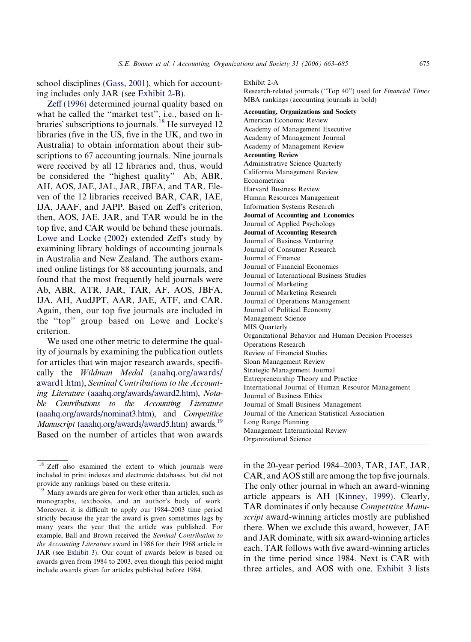<span id="page-12-0"></span>school disciplines [\(Gass, 2001\)](#page-21-0), which for accounting includes only JAR (see [Exhibit 2-B\)](#page-13-0).

[Zeff \(1996\)](#page-22-0) determined journal quality based on what he called the ''market test'', i.e., based on libraries' subscriptions to journals.<sup>18</sup> He surveyed 12 libraries (five in the US, five in the UK, and two in Australia) to obtain information about their subscriptions to 67 accounting journals. Nine journals were received by all 12 libraries and, thus, would be considered the ''highest quality''—Ab, ABR, AH, AOS, JAE, JAL, JAR, JBFA, and TAR. Eleven of the 12 libraries received BAR, CAR, IAE, IJA, JAAF, and JAPP. Based on Zeff's criterion, then, AOS, JAE, JAR, and TAR would be in the top five, and CAR would be behind these journals. [Lowe and Locke \(2002\)](#page-21-0) extended Zeff's study by examining library holdings of accounting journals in Australia and New Zealand. The authors examined online listings for 88 accounting journals, and found that the most frequently held journals were Ab, ABR, ATR, JAR, TAR, AF, AOS, JBFA, IJA, AH, AudJPT, AAR, JAE, ATF, and CAR. Again, then, our top five journals are included in the "top" group based on Lowe and Locke's criterion.

We used one other metric to determine the quality of journals by examining the publication outlets for articles that win major research awards, specifically the Wildman Medal [\(aaahq.org/awards/](http://aaahq.org/awards/award1.htm) [award1.htm\)](http://aaahq.org/awards/award1.htm), Seminal Contributions to the Accounting Literature ([aaahq.org/awards/award2.htm\)](http://aaahq.org/awards/award2.htm), Notable Contributions to the Accounting Literature [\(aaahq.org/awards/nominat3.htm](http://aaahq.org/awards/nominat3.htm)), and Competitive Manuscript [\(aaahq.org/awards/award5.htm](http://aaahq.org/awards/award5.htm)) awards.<sup>19</sup> Based on the number of articles that won awards

#### Exhibit 2-A

Research-related journals (''Top 40'') used for Financial Times MBA rankings (accounting journals in bold)

Accounting, Organizations and Society American Economic Review Academy of Management Executive Academy of Management Journal Academy of Management Review Accounting Review Administrative Science Quarterly California Management Review Econometrica Harvard Business Review Human Resources Management Information Systems Research Journal of Accounting and Economics Journal of Applied Psychology Journal of Accounting Research Journal of Business Venturing Journal of Consumer Research Journal of Finance Journal of Financial Economics Journal of International Business Studies Journal of Marketing Journal of Marketing Research Journal of Operations Management Journal of Political Economy Management Science MIS Quarterly Organizational Behavior and Human Decision Processes Operations Research Review of Financial Studies Sloan Management Review Strategic Management Journal Entrepreneurship Theory and Practice International Journal of Human Resource Management Journal of Business Ethics Journal of Small Business Management Journal of the American Statistical Association Long Range Planning Management International Review Organizational Science

in the 20-year period 1984–2003, TAR, JAE, JAR, CAR, and AOS still are among the top five journals. The only other journal in which an award-winning article appears is AH [\(Kinney, 1999](#page-21-0)). Clearly, TAR dominates if only because Competitive Manuscript award-winning articles mostly are published there. When we exclude this award, however, JAE and JAR dominate, with six award-winning articles each. TAR follows with five award-winning articles in the time period since 1984. Next is CAR with three articles, and AOS with one. [Exhibit 3](#page-14-0) lists

<sup>&</sup>lt;sup>18</sup> Zeff also examined the extent to which journals were included in print indexes and electronic databases, but did not provide any rankings based on these criteria.

<sup>&</sup>lt;sup>19</sup> Many awards are given for work other than articles, such as monographs, textbooks, and an author's body of work. Moreover, it is difficult to apply our 1984–2003 time period strictly because the year the award is given sometimes lags by many years the year that the article was published. For example, Ball and Brown received the Seminal Contribution to the Accounting Literature award in 1986 for their 1968 article in JAR (see [Exhibit 3\)](#page-14-0). Our count of awards below is based on awards given from 1984 to 2003, even though this period might include awards given for articles published before 1984.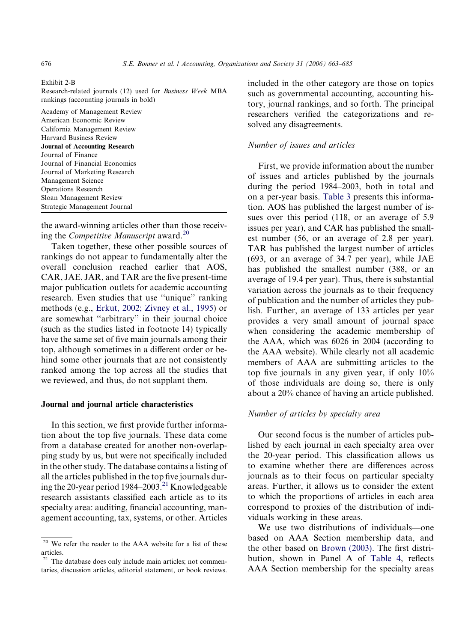<span id="page-13-0"></span>Exhibit 2-B

| Research-related journals (12) used for <i>Business Week</i> MBA |  |
|------------------------------------------------------------------|--|
| rankings (accounting journals in bold)                           |  |

| Academy of Management Review          |
|---------------------------------------|
| American Economic Review              |
| California Management Review          |
| Harvard Business Review               |
| <b>Journal of Accounting Research</b> |
| Journal of Finance                    |
| Journal of Financial Economics        |
| Journal of Marketing Research         |
| Management Science                    |
| Operations Research                   |
| Sloan Management Review               |
| Strategic Management Journal          |
|                                       |

the award-winning articles other than those receiving the *Competitive Manuscript* award.<sup>20</sup>

Taken together, these other possible sources of rankings do not appear to fundamentally alter the overall conclusion reached earlier that AOS, CAR, JAE, JAR, and TAR are the five present-time major publication outlets for academic accounting research. Even studies that use ''unique'' ranking methods (e.g., [Erkut, 2002; Zivney et al., 1995\)](#page-21-0) or are somewhat ''arbitrary'' in their journal choice (such as the studies listed in footnote 14) typically have the same set of five main journals among their top, although sometimes in a different order or behind some other journals that are not consistently ranked among the top across all the studies that we reviewed, and thus, do not supplant them.

### Journal and journal article characteristics

In this section, we first provide further information about the top five journals. These data come from a database created for another non-overlapping study by us, but were not specifically included in the other study. The database contains a listing of all the articles published in the top five journals during the 20-year period 1984–2003.<sup>21</sup> Knowledgeable research assistants classified each article as to its specialty area: auditing, financial accounting, management accounting, tax, systems, or other. Articles

included in the other category are those on topics such as governmental accounting, accounting history, journal rankings, and so forth. The principal researchers verified the categorizations and resolved any disagreements.

## Number of issues and articles

First, we provide information about the number of issues and articles published by the journals during the period 1984–2003, both in total and on a per-year basis. [Table 3](#page-16-0) presents this information. AOS has published the largest number of issues over this period (118, or an average of 5.9 issues per year), and CAR has published the smallest number (56, or an average of 2.8 per year). TAR has published the largest number of articles (693, or an average of 34.7 per year), while JAE has published the smallest number (388, or an average of 19.4 per year). Thus, there is substantial variation across the journals as to their frequency of publication and the number of articles they publish. Further, an average of 133 articles per year provides a very small amount of journal space when considering the academic membership of the AAA, which was 6026 in 2004 (according to the AAA website). While clearly not all academic members of AAA are submitting articles to the top five journals in any given year, if only 10% of those individuals are doing so, there is only about a 20% chance of having an article published.

## Number of articles by specialty area

Our second focus is the number of articles published by each journal in each specialty area over the 20-year period. This classification allows us to examine whether there are differences across journals as to their focus on particular specialty areas. Further, it allows us to consider the extent to which the proportions of articles in each area correspond to proxies of the distribution of individuals working in these areas.

We use two distributions of individuals—one based on AAA Section membership data, and the other based on [Brown \(2003\)](#page-20-0). The first distribution, shown in Panel A of [Table 4,](#page-17-0) reflects AAA Section membership for the specialty areas

 $20$  We refer the reader to the AAA website for a list of these articles.

<sup>&</sup>lt;sup>21</sup> The database does only include main articles; not commentaries, discussion articles, editorial statement, or book reviews.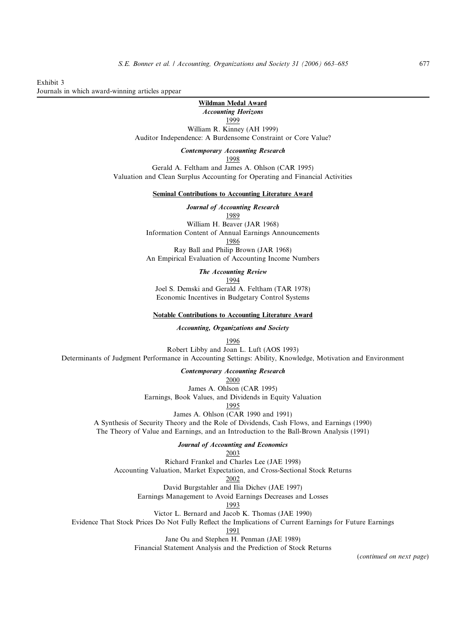<span id="page-14-0"></span>Exhibit 3 Journals in which award-winning articles appear

> Wildman Medal Award Accounting Horizons

1999

William R. Kinney (AH 1999) Auditor Independence: A Burdensome Constraint or Core Value?

Contemporary Accounting Research

1998

Gerald A. Feltham and James A. Ohlson (CAR 1995) Valuation and Clean Surplus Accounting for Operating and Financial Activities

Seminal Contributions to Accounting Literature Award

Journal of Accounting Research 1989

William H. Beaver (JAR 1968) Information Content of Annual Earnings Announcements 1986

Ray Ball and Philip Brown (JAR 1968) An Empirical Evaluation of Accounting Income Numbers

The Accounting Review

1994

Joel S. Demski and Gerald A. Feltham (TAR 1978) Economic Incentives in Budgetary Control Systems

Notable Contributions to Accounting Literature Award

Accounting, Organizations and Society

1996

Robert Libby and Joan L. Luft (AOS 1993) Determinants of Judgment Performance in Accounting Settings: Ability, Knowledge, Motivation and Environment

Contemporary Accounting Research

2000

James A. Ohlson (CAR 1995) Earnings, Book Values, and Dividends in Equity Valuation

1995

James A. Ohlson (CAR 1990 and 1991)

A Synthesis of Security Theory and the Role of Dividends, Cash Flows, and Earnings (1990)

The Theory of Value and Earnings, and an Introduction to the Ball-Brown Analysis (1991)

Journal of Accounting and Economics

2003 Richard Frankel and Charles Lee (JAE 1998) Accounting Valuation, Market Expectation, and Cross-Sectional Stock Returns

2002

David Burgstahler and Ilia Dichev (JAE 1997)

Earnings Management to Avoid Earnings Decreases and Losses

1993

Victor L. Bernard and Jacob K. Thomas (JAE 1990)

Evidence That Stock Prices Do Not Fully Reflect the Implications of Current Earnings for Future Earnings

1991

Jane Ou and Stephen H. Penman (JAE 1989)

Financial Statement Analysis and the Prediction of Stock Returns

(continued on next page)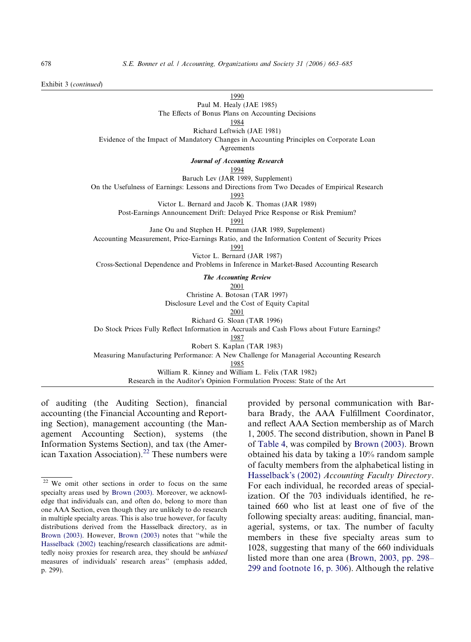Exhibit 3 (continued)

1990

Paul M. Healy (JAE 1985)

The Effects of Bonus Plans on Accounting Decisions

1984

Richard Leftwich (JAE 1981)

Evidence of the Impact of Mandatory Changes in Accounting Principles on Corporate Loan

Agreements

Journal of Accounting Research

1994

Baruch Lev (JAR 1989, Supplement)

On the Usefulness of Earnings: Lessons and Directions from Two Decades of Empirical Research

1993

Victor L. Bernard and Jacob K. Thomas (JAR 1989)

Post-Earnings Announcement Drift: Delayed Price Response or Risk Premium?

1991

Jane Ou and Stephen H. Penman (JAR 1989, Supplement)

Accounting Measurement, Price-Earnings Ratio, and the Information Content of Security Prices

1991

Victor L. Bernard (JAR 1987) Cross-Sectional Dependence and Problems in Inference in Market-Based Accounting Research

The Accounting Review

2001

Christine A. Botosan (TAR 1997) Disclosure Level and the Cost of Equity Capital

2001

Richard G. Sloan (TAR 1996)

Do Stock Prices Fully Reflect Information in Accruals and Cash Flows about Future Earnings?

1987

Robert S. Kaplan (TAR 1983)

Measuring Manufacturing Performance: A New Challenge for Managerial Accounting Research

1985

William R. Kinney and William L. Felix (TAR 1982)

Research in the Auditor's Opinion Formulation Process: State of the Art

of auditing (the Auditing Section), financial accounting (the Financial Accounting and Reporting Section), management accounting (the Management Accounting Section), systems (the Information Systems Section), and tax (the American Taxation Association).<sup>22</sup> These numbers were provided by personal communication with Barbara Brady, the AAA Fulfillment Coordinator, and reflect AAA Section membership as of March 1, 2005. The second distribution, shown in Panel B of [Table 4](#page-17-0), was compiled by [Brown \(2003\).](#page-20-0) Brown obtained his data by taking a 10% random sample of faculty members from the alphabetical listing in [Hasselback](#page-21-0)'s (2002) Accounting Faculty Directory. For each individual, he recorded areas of specialization. Of the 703 individuals identified, he retained 660 who list at least one of five of the following specialty areas: auditing, financial, managerial, systems, or tax. The number of faculty members in these five specialty areas sum to 1028, suggesting that many of the 660 individuals listed more than one area ([Brown, 2003, pp. 298–](#page-20-0) [299 and footnote 16, p. 306\)](#page-20-0). Although the relative

<sup>22</sup> We omit other sections in order to focus on the same specialty areas used by [Brown \(2003\).](#page-20-0) Moreover, we acknowledge that individuals can, and often do, belong to more than one AAA Section, even though they are unlikely to do research in multiple specialty areas. This is also true however, for faculty distributions derived from the Hasselback directory, as in [Brown \(2003\).](#page-20-0) However, [Brown \(2003\)](#page-20-0) notes that ''while the [Hasselback \(2002\)](#page-21-0) teaching/research classifications are admittedly noisy proxies for research area, they should be unbiased measures of individuals' research areas" (emphasis added, p. 299).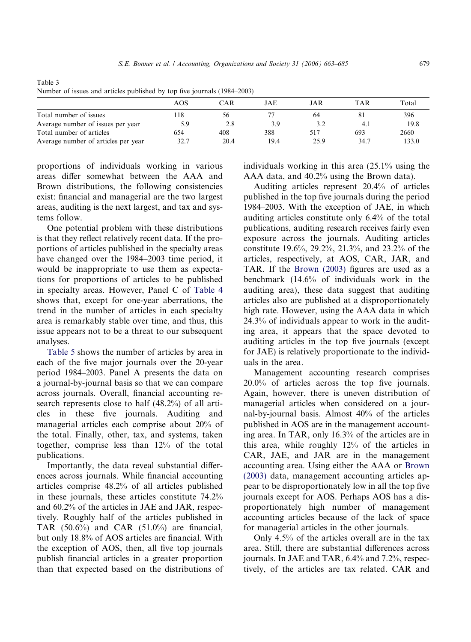| $\frac{1}{2}$ valued to hold of the articles passioned by top five fourning (1961–2009) |      |      |      |      |      |       |
|-----------------------------------------------------------------------------------------|------|------|------|------|------|-------|
|                                                                                         | AOS  | CAR  | JAE  | JAR  | TAR  | Total |
| Total number of issues                                                                  | 118  | 56   |      | 64   | 81   | 396   |
| Average number of issues per year                                                       | 5.9  | 2.8  | 3.9  | 3.2  | 4.   | 19.8  |
| Total number of articles                                                                | 654  | 408  | 388  | 517  | 693  | 2660  |
| Average number of articles per year                                                     | 32.7 | 20.4 | 19.4 | 25.9 | 34.7 | 133.0 |

<span id="page-16-0"></span>Table 3 Number of issues and articles published by top five journals (1984–2003)

proportions of individuals working in various areas differ somewhat between the AAA and Brown distributions, the following consistencies exist: financial and managerial are the two largest areas, auditing is the next largest, and tax and systems follow.

One potential problem with these distributions is that they reflect relatively recent data. If the proportions of articles published in the specialty areas have changed over the 1984–2003 time period, it would be inappropriate to use them as expectations for proportions of articles to be published in specialty areas. However, Panel C of [Table 4](#page-17-0) shows that, except for one-year aberrations, the trend in the number of articles in each specialty area is remarkably stable over time, and thus, this issue appears not to be a threat to our subsequent analyses.

[Table 5](#page-19-0) shows the number of articles by area in each of the five major journals over the 20-year period 1984–2003. Panel A presents the data on a journal-by-journal basis so that we can compare across journals. Overall, financial accounting research represents close to half (48.2%) of all articles in these five journals. Auditing and managerial articles each comprise about 20% of the total. Finally, other, tax, and systems, taken together, comprise less than 12% of the total publications.

Importantly, the data reveal substantial differences across journals. While financial accounting articles comprise 48.2% of all articles published in these journals, these articles constitute 74.2% and 60.2% of the articles in JAE and JAR, respectively. Roughly half of the articles published in TAR  $(50.6\%)$  and CAR  $(51.0\%)$  are financial, but only 18.8% of AOS articles are financial. With the exception of AOS, then, all five top journals publish financial articles in a greater proportion than that expected based on the distributions of individuals working in this area (25.1% using the AAA data, and 40.2% using the Brown data).

Auditing articles represent 20.4% of articles published in the top five journals during the period 1984–2003. With the exception of JAE, in which auditing articles constitute only 6.4% of the total publications, auditing research receives fairly even exposure across the journals. Auditing articles constitute 19.6%, 29.2%, 21.3%, and 23.2% of the articles, respectively, at AOS, CAR, JAR, and TAR. If the [Brown \(2003\)](#page-20-0) figures are used as a benchmark (14.6% of individuals work in the auditing area), these data suggest that auditing articles also are published at a disproportionately high rate. However, using the AAA data in which 24.3% of individuals appear to work in the auditing area, it appears that the space devoted to auditing articles in the top five journals (except for JAE) is relatively proportionate to the individuals in the area.

Management accounting research comprises 20.0% of articles across the top five journals. Again, however, there is uneven distribution of managerial articles when considered on a journal-by-journal basis. Almost 40% of the articles published in AOS are in the management accounting area. In TAR, only 16.3% of the articles are in this area, while roughly 12% of the articles in CAR, JAE, and JAR are in the management accounting area. Using either the AAA or [Brown](#page-20-0) [\(2003\)](#page-20-0) data, management accounting articles appear to be disproportionately low in all the top five journals except for AOS. Perhaps AOS has a disproportionately high number of management accounting articles because of the lack of space for managerial articles in the other journals.

Only 4.5% of the articles overall are in the tax area. Still, there are substantial differences across journals. In JAE and TAR, 6.4% and 7.2%, respectively, of the articles are tax related. CAR and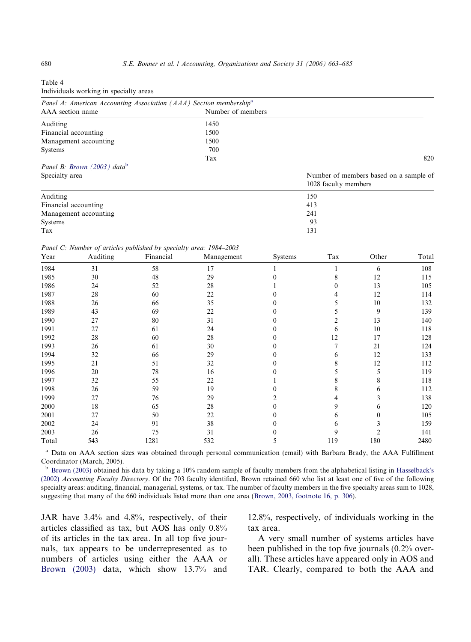<span id="page-17-0"></span>

| Table 4                                |  |  |
|----------------------------------------|--|--|
| Individuals working in specialty areas |  |  |

| Panel A: American Accounting Association (AAA) Section membership <sup>a</sup> |                   |                                                                |
|--------------------------------------------------------------------------------|-------------------|----------------------------------------------------------------|
| AAA section name                                                               | Number of members |                                                                |
| Auditing                                                                       | 1450              |                                                                |
| Financial accounting                                                           | 1500              |                                                                |
| Management accounting                                                          | 1500              |                                                                |
| <b>Systems</b>                                                                 | 700               |                                                                |
|                                                                                | Tax               | 820                                                            |
| Panel B: Brown $(2003)$ data <sup>b</sup>                                      |                   |                                                                |
| Specialty area                                                                 |                   | Number of members based on a sample of<br>1028 faculty members |
| Auditing                                                                       |                   | 150                                                            |
| Financial accounting                                                           |                   | 413                                                            |
| Management accounting                                                          |                   | 241                                                            |
| Systems                                                                        |                   | 93                                                             |
| Tax                                                                            |                   | 131                                                            |

Panel C: Number of articles published by specialty area: 1984–2003

| Year  | Auditing | Financial | Management | Systems | Tax | Other | Total |
|-------|----------|-----------|------------|---------|-----|-------|-------|
| 1984  | 31       | 58        | 17         |         |     | 6     | 108   |
| 1985  | 30       | 48        | 29         |         | 8   | 12    | 115   |
| 1986  | 24       | 52        | 28         |         | 0   | 13    | 105   |
| 1987  | 28       | 60        | 22         |         |     | 12    | 114   |
| 1988  | 26       | 66        | 35         |         |     | 10    | 132   |
| 1989  | 43       | 69        | 22         |         |     | 9     | 139   |
| 1990  | 27       | 80        | 31         |         |     | 13    | 140   |
| 1991  | 27       | 61        | 24         |         | 6   | 10    | 118   |
| 1992  | 28       | 60        | 28         |         | 12  | 17    | 128   |
| 1993  | 26       | 61        | 30         |         | 7   | 21    | 124   |
| 1994  | 32       | 66        | 29         |         | 6   | 12    | 133   |
| 1995  | 21       | 51        | 32         |         | 8   | 12    | 112   |
| 1996  | 20       | 78        | 16         |         |     | 5     | 119   |
| 1997  | 32       | 55        | 22         |         | 8   | 8     | 118   |
| 1998  | 26       | 59        | 19         |         | 8   | 6     | 112   |
| 1999  | 27       | 76        | 29         |         | 4   | 3     | 138   |
| 2000  | 18       | 65        | 28         | 0       | 9   | 6     | 120   |
| 2001  | 27       | 50        | 22         |         | 6   | 0     | 105   |
| 2002  | 24       | 91        | 38         |         | 6   |       | 159   |
| 2003  | 26       | 75        | 31         | 0       | 9   |       | 141   |
| Total | 543      | 1281      | 532        | 5       | 119 | 180   | 2480  |

<sup>a</sup> Data on AAA section sizes was obtained through personal communication (email) with Barbara Brady, the AAA Fulfillment Coordinator (March, 2005).

 $<sup>b</sup>$  [Brown \(2003\)](#page-20-0) obtained his data by taking a 10% random sample of faculty members from the alphabetical listing in [Hasselback](#page-21-0)'s</sup> [\(2002\)](#page-21-0) Accounting Faculty Directory. Of the 703 faculty identified, Brown retained 660 who list at least one of five of the following specialty areas: auditing, financial, managerial, systems, or tax. The number of faculty members in the five specialty areas sum to 1028, suggesting that many of the 660 individuals listed more than one area ([Brown, 2003, footnote 16, p. 306\)](#page-20-0).

JAR have 3.4% and 4.8%, respectively, of their articles classified as tax, but AOS has only 0.8% of its articles in the tax area. In all top five journals, tax appears to be underrepresented as to numbers of articles using either the AAA or [Brown \(2003\)](#page-20-0) data, which show 13.7% and 12.8%, respectively, of individuals working in the tax area.

A very small number of systems articles have been published in the top five journals (0.2% overall). These articles have appeared only in AOS and TAR. Clearly, compared to both the AAA and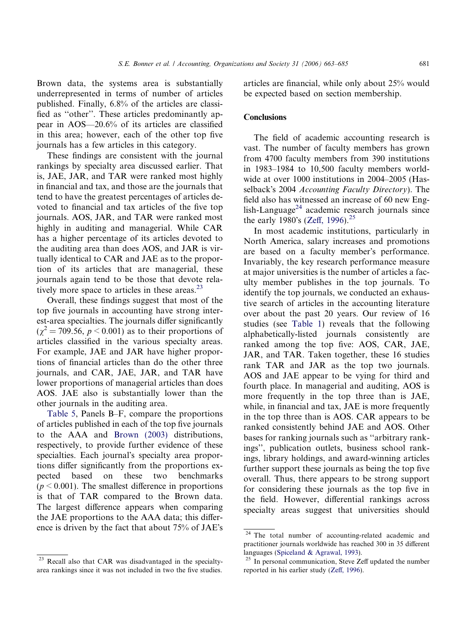Brown data, the systems area is substantially underrepresented in terms of number of articles published. Finally, 6.8% of the articles are classified as ''other''. These articles predominantly appear in AOS—20.6% of its articles are classified in this area; however, each of the other top five journals has a few articles in this category.

These findings are consistent with the journal rankings by specialty area discussed earlier. That is, JAE, JAR, and TAR were ranked most highly in financial and tax, and those are the journals that tend to have the greatest percentages of articles devoted to financial and tax articles of the five top journals. AOS, JAR, and TAR were ranked most highly in auditing and managerial. While CAR has a higher percentage of its articles devoted to the auditing area than does AOS, and JAR is virtually identical to CAR and JAE as to the proportion of its articles that are managerial, these journals again tend to be those that devote relatively more space to articles in these areas. $^{23}$ 

Overall, these findings suggest that most of the top five journals in accounting have strong interest-area specialties. The journals differ significantly  $(\gamma^2 = 709.56, p \le 0.001)$  as to their proportions of articles classified in the various specialty areas. For example, JAE and JAR have higher proportions of financial articles than do the other three journals, and CAR, JAE, JAR, and TAR have lower proportions of managerial articles than does AOS. JAE also is substantially lower than the other journals in the auditing area.

[Table 5](#page-19-0), Panels B–F, compare the proportions of articles published in each of the top five journals to the AAA and [Brown \(2003\)](#page-20-0) distributions, respectively, to provide further evidence of these specialties. Each journal's specialty area proportions differ significantly from the proportions expected based on these two benchmarks  $(p < 0.001)$ . The smallest difference in proportions is that of TAR compared to the Brown data. The largest difference appears when comparing the JAE proportions to the AAA data; this difference is driven by the fact that about 75% of JAE's

<sup>23</sup> Recall also that CAR was disadvantaged in the specialtyarea rankings since it was not included in two the five studies.

articles are financial, while only about 25% would be expected based on section membership.

## **Conclusions**

The field of academic accounting research is vast. The number of faculty members has grown from 4700 faculty members from 390 institutions in 1983–1984 to 10,500 faculty members worldwide at over 1000 institutions in 2004–2005 (Hasselback's 2004 Accounting Faculty Directory). The field also has witnessed an increase of 60 new English-Language<sup>24</sup> academic research journals since the early 1980's ([Zeff, 1996\)](#page-22-0).<sup>25</sup>

In most academic institutions, particularly in North America, salary increases and promotions are based on a faculty member's performance. Invariably, the key research performance measure at major universities is the number of articles a faculty member publishes in the top journals. To identify the top journals, we conducted an exhaustive search of articles in the accounting literature over about the past 20 years. Our review of 16 studies (see [Table 1](#page-3-0)) reveals that the following alphabetically-listed journals consistently are ranked among the top five: AOS, CAR, JAE, JAR, and TAR. Taken together, these 16 studies rank TAR and JAR as the top two journals. AOS and JAE appear to be vying for third and fourth place. In managerial and auditing, AOS is more frequently in the top three than is JAE, while, in financial and tax, JAE is more frequently in the top three than is AOS. CAR appears to be ranked consistently behind JAE and AOS. Other bases for ranking journals such as ''arbitrary rankings'', publication outlets, business school rankings, library holdings, and award-winning articles further support these journals as being the top five overall. Thus, there appears to be strong support for considering these journals as the top five in the field. However, differential rankings across specialty areas suggest that universities should

 $\overline{a^{24}}$  The total number of accounting-related academic and practitioner journals worldwide has reached 300 in 35 different languages [\(Spiceland & Agrawal, 1993](#page-22-0)).

In personal communication, Steve Zeff updated the number reported in his earlier study [\(Zeff, 1996](#page-22-0)).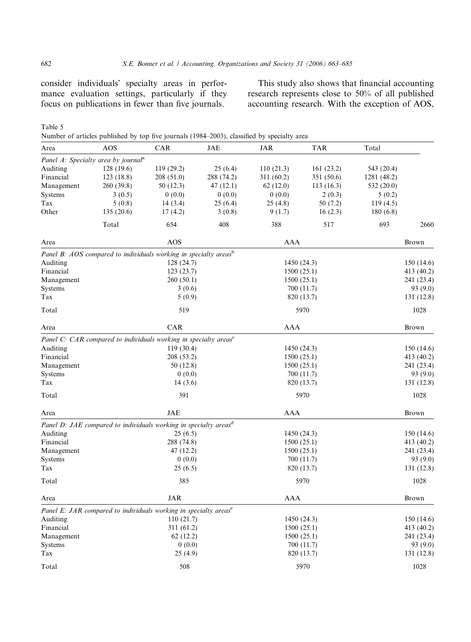consider individuals' specialty areas in performance evaluation settings, particularly if they focus on publications in fewer than five journals.

This study also shows that financial accounting research represents close to 50% of all published accounting research. With the exception of AOS,

| <b>AOS</b>              | CAR        | JAE                                                       | <b>JAR</b>                                                                                                                                                                                                                                                                                                                     | <b>TAR</b> | Total                                                                                                                                                                   |                       |
|-------------------------|------------|-----------------------------------------------------------|--------------------------------------------------------------------------------------------------------------------------------------------------------------------------------------------------------------------------------------------------------------------------------------------------------------------------------|------------|-------------------------------------------------------------------------------------------------------------------------------------------------------------------------|-----------------------|
|                         |            |                                                           |                                                                                                                                                                                                                                                                                                                                |            |                                                                                                                                                                         |                       |
| 128(19.6)               | 119(29.2)  | 25(6.4)                                                   | 110(21.3)                                                                                                                                                                                                                                                                                                                      | 161(23.2)  | 543 (20.4)                                                                                                                                                              |                       |
| 123(18.8)               | 208(51.0)  | 288 (74.2)                                                | 311 (60.2)                                                                                                                                                                                                                                                                                                                     | 351 (50.6) |                                                                                                                                                                         |                       |
| 260 (39.8)              | 50(12.3)   | 47(12.1)                                                  | 62(12.0)                                                                                                                                                                                                                                                                                                                       | 113(16.3)  | 532 (20.0)                                                                                                                                                              |                       |
|                         |            |                                                           |                                                                                                                                                                                                                                                                                                                                |            |                                                                                                                                                                         |                       |
| 5(0.8)                  | 14(3.4)    |                                                           | 25(4.8)                                                                                                                                                                                                                                                                                                                        | 50(7.2)    | 119(4.5)                                                                                                                                                                |                       |
| 135(20.6)               | 17(4.2)    | 3(0.8)                                                    | 9(1.7)                                                                                                                                                                                                                                                                                                                         | 16(2.3)    | 180(6.8)                                                                                                                                                                |                       |
| Total                   | 654        | 408                                                       | 388                                                                                                                                                                                                                                                                                                                            | 517        | 693                                                                                                                                                                     | 2660                  |
|                         | AOS        |                                                           |                                                                                                                                                                                                                                                                                                                                |            |                                                                                                                                                                         | Brown                 |
|                         |            |                                                           |                                                                                                                                                                                                                                                                                                                                |            |                                                                                                                                                                         |                       |
|                         |            |                                                           |                                                                                                                                                                                                                                                                                                                                |            |                                                                                                                                                                         | 150 (14.6)            |
|                         |            | 123(23.7)                                                 |                                                                                                                                                                                                                                                                                                                                | 1500(25.1) |                                                                                                                                                                         | 413 (40.2)            |
| Management<br>260(50.1) |            | 1500(25.1)                                                |                                                                                                                                                                                                                                                                                                                                |            | 241 (23.4)                                                                                                                                                              |                       |
|                         | 3(0.6)     |                                                           | 700 (11.7)                                                                                                                                                                                                                                                                                                                     |            |                                                                                                                                                                         | 93 (9.0)              |
| 5(0.9)                  |            | 820 (13.7)                                                |                                                                                                                                                                                                                                                                                                                                |            | 131 (12.8)                                                                                                                                                              |                       |
| Total<br>519            |            |                                                           | 5970                                                                                                                                                                                                                                                                                                                           |            |                                                                                                                                                                         | 1028                  |
|                         | CAR        |                                                           |                                                                                                                                                                                                                                                                                                                                |            |                                                                                                                                                                         | Brown                 |
|                         |            |                                                           |                                                                                                                                                                                                                                                                                                                                |            |                                                                                                                                                                         |                       |
|                         |            |                                                           |                                                                                                                                                                                                                                                                                                                                |            |                                                                                                                                                                         | 150 (14.6)            |
|                         |            |                                                           |                                                                                                                                                                                                                                                                                                                                |            |                                                                                                                                                                         | 413 (40.2)            |
|                         |            |                                                           |                                                                                                                                                                                                                                                                                                                                |            |                                                                                                                                                                         | 241 (23.4)            |
|                         |            |                                                           |                                                                                                                                                                                                                                                                                                                                |            |                                                                                                                                                                         | 93 (9.0)              |
| Tax<br>14(3.6)          |            |                                                           | 820 (13.7)                                                                                                                                                                                                                                                                                                                     |            | 131 (12.8)                                                                                                                                                              |                       |
| 391<br>Total            |            |                                                           | 5970                                                                                                                                                                                                                                                                                                                           |            | 1028                                                                                                                                                                    |                       |
|                         | <b>JAE</b> |                                                           |                                                                                                                                                                                                                                                                                                                                |            |                                                                                                                                                                         | Brown                 |
|                         |            |                                                           |                                                                                                                                                                                                                                                                                                                                |            |                                                                                                                                                                         |                       |
|                         |            |                                                           |                                                                                                                                                                                                                                                                                                                                |            |                                                                                                                                                                         | 150(14.6)             |
| Financial<br>288 (74.8) |            |                                                           |                                                                                                                                                                                                                                                                                                                                |            | 413 (40.2)                                                                                                                                                              |                       |
| Management<br>47 (12.2) |            |                                                           |                                                                                                                                                                                                                                                                                                                                |            | 241 (23.4)                                                                                                                                                              |                       |
| Systems<br>0(0.0)       |            | 700 (11.7)                                                |                                                                                                                                                                                                                                                                                                                                |            | 93 (9.0)                                                                                                                                                                |                       |
| Tax<br>25(6.5)          |            | 820 (13.7)                                                |                                                                                                                                                                                                                                                                                                                                | 131 (12.8) |                                                                                                                                                                         |                       |
| Total<br>385            |            | 5970                                                      |                                                                                                                                                                                                                                                                                                                                | 1028       |                                                                                                                                                                         |                       |
|                         | <b>JAR</b> |                                                           |                                                                                                                                                                                                                                                                                                                                |            |                                                                                                                                                                         | Brown                 |
|                         | 3(0.5)     | Panel A: Specialty area by journal <sup>a</sup><br>0(0.0) | 0(0.0)<br>25(6.4)<br>Panel B: AOS compared to individuals working in specialty areasb<br>128(24.7)<br>Panel C: CAR compared to individuals working in specialty areas <sup>c</sup><br>119(30.4)<br>208 (53.2)<br>50(12.8)<br>0(0.0)<br>Panel D: JAE compared to individuals working in specialty areas <sup>d</sup><br>25(6.5) | 0(0.0)     | 2(0.3)<br>AAA<br>1450(24.3)<br><b>AAA</b><br>1450(24.3)<br>1500(25.1)<br>1500(25.1)<br>700 (11.7)<br><b>AAA</b><br>1450(24.3)<br>1500(25.1)<br>1500(25.1)<br><b>AAA</b> | 1281 (48.2)<br>5(0.2) |

Auditing 110 (21.7) 110 (21.7) 1450 (24.3) 150 (14.6) Financial 311 (61.2) 311 (61.2) 1500 (25.1) 413 (40.2) Management 62 (12.2) 63 (12.2) 1500 (25.1) 241 (23.4) Systems  $0(0.0)$   $700(11.7)$   $93(9.0)$ Tax  $25 (4.9)$   $820 (13.7)$   $131 (12.8)$  $Total$  508 5970 1028

Table 5 Number of articles published by top five journals (1984–2003), classified by specialty area

<span id="page-19-0"></span>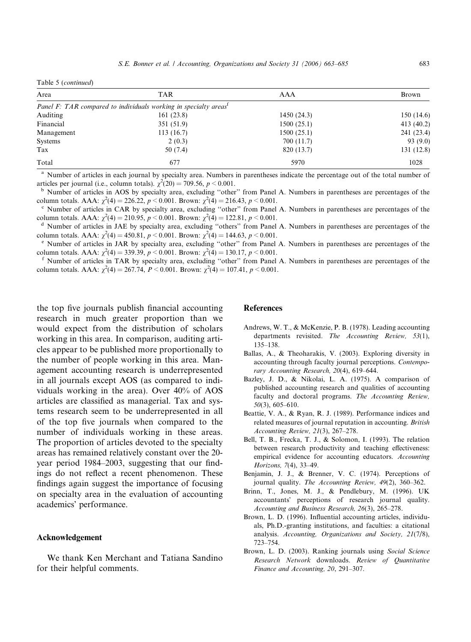<span id="page-20-0"></span>

| Table 5 (continued) |  |  |
|---------------------|--|--|
|---------------------|--|--|

| Area       | <b>TAR</b>                                                                   | AAA        | Brown      |
|------------|------------------------------------------------------------------------------|------------|------------|
|            | Panel F: TAR compared to individuals working in specialty areas <sup>t</sup> |            |            |
| Auditing   | 161(23.8)                                                                    | 1450(24.3) | 150(14.6)  |
| Financial  | 351(51.9)                                                                    | 1500(25.1) | 413(40.2)  |
| Management | 113(16.7)                                                                    | 1500(25.1) | 241 (23.4) |
| Systems    | 2(0.3)                                                                       | 700 (11.7) | 93(9.0)    |
| Tax        | 50 (7.4)                                                                     | 820 (13.7) | 131(12.8)  |
| Total      | 677                                                                          | 5970       | 1028       |

<sup>a</sup> Number of articles in each journal by specialty area. Numbers in parentheses indicate the percentage out of the total number of articles per journal (i.e., column totals).  $\chi^2(20) = 709.56$ ,  $p < 0.001$ .

<sup>b</sup> Number of articles in AOS by specialty area, excluding "other" from Panel A. Numbers in parentheses are percentages of the column totals. AAA:  $\chi^2(4) = 226.22, p \le 0.001$ . Brown:  $\chi^2$ 

<sup>c</sup> Number of articles in CAR by specialty area, excluding "other" from Panel A. Numbers in parentheses are percentages of the column totals. AAA:  $\chi^2(4) = 210.95$ ,  $p \le 0.001$ . Brown:  $\chi^2$ 

 $<sup>d</sup>$  Number of articles in JAE by specialty area, excluding "others" from Panel A. Numbers in parentheses are percentages of the</sup> column totals. AAA:  $\chi^2(4) = 450.81$ ,  $p < 0.001$ . Brown:  $\chi^2(4) = 144.63$ ,  $p < 0.001$ .

Number of articles in JAR by specialty area, excluding "other" from Panel A. Numbers in parentheses are percentages of the column totals. AAA:  $\chi^2(4) = 339.39, p < 0.001$ . Brown:  $\chi^2(4) = 130.17, p < 0.001$ .

<sup>f</sup> Number of articles in TAR by specialty area, excluding "other" from Panel A. Numbers in parentheses are percentages of the column totals. AAA:  $\chi^2(4) = 267.74$ ,  $P \le 0.001$ . Brown:  $\chi^2(4) = 107.41$ ,  $p \le 0.001$ .

the top five journals publish financial accounting research in much greater proportion than we would expect from the distribution of scholars working in this area. In comparison, auditing articles appear to be published more proportionally to the number of people working in this area. Management accounting research is underrepresented in all journals except AOS (as compared to individuals working in the area). Over 40% of AOS articles are classified as managerial. Tax and systems research seem to be underrepresented in all of the top five journals when compared to the number of individuals working in these areas. The proportion of articles devoted to the specialty areas has remained relatively constant over the 20 year period 1984–2003, suggesting that our findings do not reflect a recent phenomenon. These findings again suggest the importance of focusing on specialty area in the evaluation of accounting academics' performance.

## Acknowledgement

We thank Ken Merchant and Tatiana Sandino for their helpful comments.

## **References**

- Andrews, W. T., & McKenzie, P. B. (1978). Leading accounting departments revisited. The Accounting Review, 53(1), 135–138.
- Ballas, A., & Theoharakis, V. (2003). Exploring diversity in accounting through faculty journal perceptions. Contemporary Accounting Research, 20(4), 619–644.
- Bazley, J. D., & Nikolai, L. A. (1975). A comparison of published accounting research and qualities of accounting faculty and doctoral programs. The Accounting Review, 50(3), 605–610.
- Beattie, V. A., & Ryan, R. J. (1989). Performance indices and related measures of journal reputation in accounting. British Accounting Review, 21(3), 267–278.
- Bell, T. B., Frecka, T. J., & Solomon, I. (1993). The relation between research productivity and teaching effectiveness: empirical evidence for accounting educators. Accounting Horizons, 7(4), 33–49.
- Benjamin, J. J., & Brenner, V. C. (1974). Perceptions of journal quality. The Accounting Review, 49(2), 360–362.
- Brinn, T., Jones, M. J., & Pendlebury, M. (1996). UK accountants' perceptions of research journal quality. Accounting and Business Research, 26(3), 265–278.
- Brown, L. D. (1996). Influential accounting articles, individuals, Ph.D.-granting institutions, and faculties: a citational analysis. Accounting, Organizations and Society, 21(7/8), 723–754.
- Brown, L. D. (2003). Ranking journals using Social Science Research Network downloads. Review of Quantitative Finance and Accounting, 20, 291–307.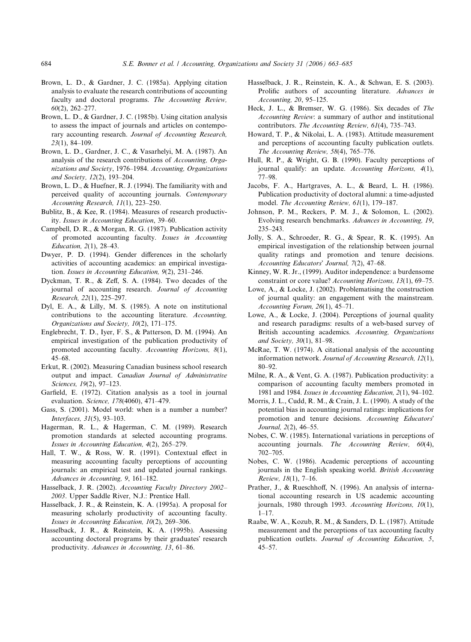- <span id="page-21-0"></span>Brown, L. D., & Gardner, J. C. (1985a). Applying citation analysis to evaluate the research contributions of accounting faculty and doctoral programs. The Accounting Review, 60(2), 262–277.
- Brown, L. D., & Gardner, J. C. (1985b). Using citation analysis to assess the impact of journals and articles on contemporary accounting research. Journal of Accounting Research, 23(1), 84–109.
- Brown, L. D., Gardner, J. C., & Vasarhelyi, M. A. (1987). An analysis of the research contributions of Accounting, Organizations and Society, 1976–1984. Accounting, Organizations and Society, 12(2), 193–204.
- Brown, L. D., & Huefner, R. J. (1994). The familiarity with and perceived quality of accounting journals. Contemporary Accounting Research, 11(1), 223–250.
- Bublitz, B., & Kee, R. (1984). Measures of research productivity. Issues in Accounting Education, 39–60.
- Campbell, D. R., & Morgan, R. G. (1987). Publication activity of promoted accounting faculty. Issues in Accounting Education, 2(1), 28–43.
- Dwyer, P. D. (1994). Gender differences in the scholarly activities of accounting academics: an empirical investigation. Issues in Accounting Education, 9(2), 231–246.
- Dyckman, T. R., & Zeff, S. A. (1984). Two decades of the journal of accounting research. Journal of Accounting Research, 22(1), 225–297.
- Dyl, E. A., & Lilly, M. S. (1985). A note on institutional contributions to the accounting literature. Accounting, Organizations and Society, 10(2), 171–175.
- Englebrecht, T. D., Iyer, F. S., & Patterson, D. M. (1994). An empirical investigation of the publication productivity of promoted accounting faculty. Accounting Horizons, 8(1), 45–68.
- Erkut, R. (2002). Measuring Canadian business school research output and impact. Canadian Journal of Administrative Sciences, 19(2), 97–123.
- Garfield, E. (1972). Citation analysis as a tool in journal evaluation. Science, 178(4060), 471–479.
- Gass, S. (2001). Model world: when is a number a number? Interfaces, 31(5), 93–103.
- Hagerman, R. L., & Hagerman, C. M. (1989). Research promotion standards at selected accounting programs. Issues in Accounting Education, 4(2), 265–279.
- Hall, T. W., & Ross, W. R. (1991). Contextual effect in measuring accounting faculty perceptions of accounting journals: an empirical test and updated journal rankings. Advances in Accounting, 9, 161–182.
- Hasselback, J. R. (2002). Accounting Faculty Directory 2002– 2003. Upper Saddle River, N.J.: Prentice Hall.
- Hasselback, J. R., & Reinstein, K. A. (1995a). A proposal for measuring scholarly productivity of accounting faculty. Issues in Accounting Education, 10(2), 269–306.
- Hasselback, J. R., & Reinstein, K. A. (1995b). Assessing accounting doctoral programs by their graduates' research productivity. Advances in Accounting, 13, 61–86.
- Hasselback, J. R., Reinstein, K. A., & Schwan, E. S. (2003). Prolific authors of accounting literature. Advances in Accounting, 20, 95–125.
- Heck, J. L., & Bremser, W. G. (1986). Six decades of The Accounting Review: a summary of author and institutional contributors. The Accounting Review, 61(4), 735–743.
- Howard, T. P., & Nikolai, L. A. (1983). Attitude measurement and perceptions of accounting faculty publication outlets. The Accounting Review, 58(4), 765–776.
- Hull, R. P., & Wright, G. B. (1990). Faculty perceptions of journal qualify: an update. Accounting Horizons, 4(1), 77–98.
- Jacobs, F. A., Hartgraves, A. L., & Beard, L. H. (1986). Publication productivity of doctoral alumni: a time-adjusted model. The Accounting Review, 61(1), 179–187.
- Johnson, P. M., Reckers, P. M. J., & Solomon, L. (2002). Evolving research benchmarks. Advances in Accounting, 19, 235–243.
- Jolly, S. A., Schroeder, R. G., & Spear, R. K. (1995). An empirical investigation of the relationship between journal quality ratings and promotion and tenure decisions. Accounting Educators' Journal, 7(2), 47-68.
- Kinney, W. R. Jr., (1999). Auditor independence: a burdensome constraint or core value? Accounting Horizons, 13(1), 69–75.
- Lowe, A., & Locke, J. (2002). Problematising the construction of journal quality: an engagement with the mainstream. Accounting Forum, 26(1), 45–71.
- Lowe, A., & Locke, J. (2004). Perceptions of journal quality and research paradigms: results of a web-based survey of British accounting academics. Accounting, Organizations and Society, 30(1), 81–98.
- McRae, T. W. (1974). A citational analysis of the accounting information network. Journal of Accounting Research, 12(1), 80–92.
- Milne, R. A., & Vent, G. A. (1987). Publication productivity: a comparison of accounting faculty members promoted in 1981 and 1984. Issues in Accounting Education, 2(1), 94–102.
- Morris, J. L., Cudd, R. M., & Crain, J. L. (1990). A study of the potential bias in accounting journal ratings: implications for promotion and tenure decisions. Accounting Educators' Journal, 2(2), 46–55.
- Nobes, C. W. (1985). International variations in perceptions of accounting journals. The Accounting Review, 60(4), 702–705.
- Nobes, C. W. (1986). Academic perceptions of accounting journals in the English speaking world. British Accounting Review, 18(1), 7–16.
- Prather, J., & Rueschhoff, N. (1996). An analysis of international accounting research in US academic accounting journals, 1980 through 1993. Accounting Horizons, 10(1), 1–17.
- Raabe, W. A., Kozub, R. M., & Sanders, D. L. (1987). Attitude measurement and the perceptions of tax accounting faculty publication outlets. Journal of Accounting Education, 5, 45–57.